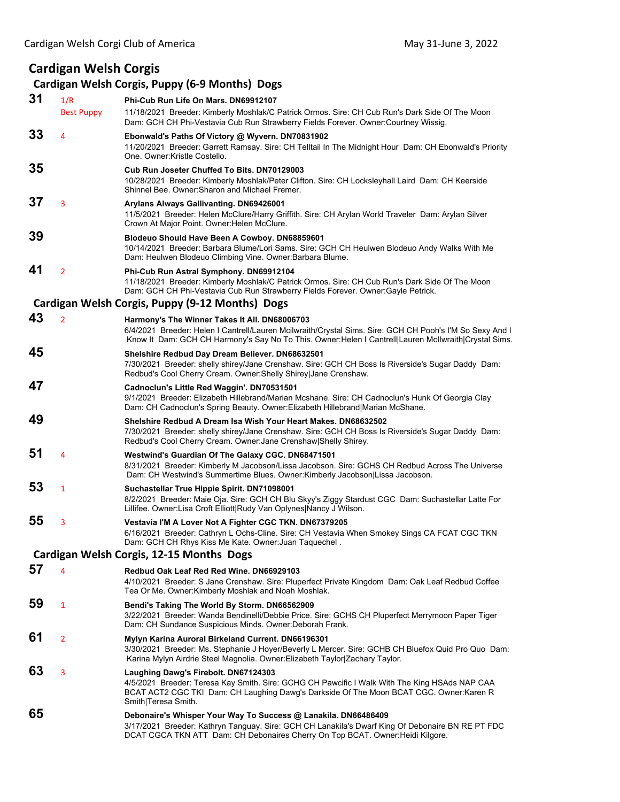# **Cardigan Welsh Corgis**

## **Cardigan Welsh Corgis, Puppy (6‐9 Months) Dogs**

| 31 | 1/R<br><b>Best Puppy</b> | Phi-Cub Run Life On Mars, DN69912107<br>11/18/2021 Breeder: Kimberly Moshlak/C Patrick Ormos. Sire: CH Cub Run's Dark Side Of The Moon<br>Dam: GCH CH Phi-Vestavia Cub Run Strawberry Fields Forever. Owner:Courtney Wissig.                                       |  |
|----|--------------------------|--------------------------------------------------------------------------------------------------------------------------------------------------------------------------------------------------------------------------------------------------------------------|--|
| 33 | 4                        | Ebonwald's Paths Of Victory @ Wyvern. DN70831902<br>11/20/2021 Breeder: Garrett Ramsay. Sire: CH Telltail In The Midnight Hour Dam: CH Ebonwald's Priority<br>One, Owner: Kristle Costello.                                                                        |  |
| 35 |                          | Cub Run Joseter Chuffed To Bits, DN70129003<br>10/28/2021 Breeder: Kimberly Moshlak/Peter Clifton. Sire: CH Locksleyhall Laird Dam: CH Keerside<br>Shinnel Bee, Owner: Sharon and Michael Fremer.                                                                  |  |
| 37 | 3                        | Arylans Always Gallivanting. DN69426001<br>11/5/2021 Breeder: Helen McClure/Harry Griffith. Sire: CH Arylan World Traveler Dam: Arylan Silver<br>Crown At Major Point. Owner: Helen McClure.                                                                       |  |
| 39 |                          | Blodeuo Should Have Been A Cowboy. DN68859601<br>10/14/2021 Breeder: Barbara Blume/Lori Sams. Sire: GCH CH Heulwen Blodeuo Andy Walks With Me<br>Dam: Heulwen Blodeuo Climbing Vine. Owner: Barbara Blume.                                                         |  |
| 41 | $\overline{2}$           | Phi-Cub Run Astral Symphony. DN69912104<br>11/18/2021 Breeder: Kimberly Moshlak/C Patrick Ormos. Sire: CH Cub Run's Dark Side Of The Moon<br>Dam: GCH CH Phi-Vestavia Cub Run Strawberry Fields Forever. Owner:Gayle Petrick.                                      |  |
|    |                          | Cardigan Welsh Corgis, Puppy (9-12 Months) Dogs                                                                                                                                                                                                                    |  |
| 43 | $\overline{2}$           | Harmony's The Winner Takes It All. DN68006703<br>6/4/2021 Breeder: Helen I Cantrell/Lauren Mcilwraith/Crystal Sims. Sire: GCH CH Pooh's I'M So Sexy And I<br>Know It Dam: GCH CH Harmony's Say No To This. Owner: Helen I Cantrell Lauren McIlwraith Crystal Sims. |  |
| 45 |                          | Shelshire Redbud Day Dream Believer. DN68632501<br>7/30/2021 Breeder: shelly shirey/Jane Crenshaw. Sire: GCH CH Boss Is Riverside's Sugar Daddy Dam:<br>Redbud's Cool Cherry Cream. Owner: Shelly Shirey Jane Crenshaw.                                            |  |
| 47 |                          | Cadnoclun's Little Red Waggin'. DN70531501<br>9/1/2021 Breeder: Elizabeth Hillebrand/Marian Mcshane. Sire: CH Cadnoclun's Hunk Of Georgia Clay<br>Dam: CH Cadnoclun's Spring Beauty. Owner: Elizabeth Hillebrand Marian McShane.                                   |  |
| 49 |                          | Shelshire Redbud A Dream Isa Wish Your Heart Makes, DN68632502<br>7/30/2021 Breeder: shelly shirey/Jane Crenshaw. Sire: GCH CH Boss Is Riverside's Sugar Daddy Dam:<br>Redbud's Cool Cherry Cream. Owner: Jane Crenshaw Shelly Shirey.                             |  |
| 51 | 4                        | Westwind's Guardian Of The Galaxy CGC. DN68471501<br>8/31/2021 Breeder: Kimberly M Jacobson/Lissa Jacobson. Sire: GCHS CH Redbud Across The Universe<br>Dam: CH Westwind's Summertime Blues. Owner: Kimberly Jacobson Lissa Jacobson.                              |  |
| 53 | 1                        | Suchastellar True Hippie Spirit. DN71098001<br>8/2/2021 Breeder: Maie Oja. Sire: GCH CH Blu Skyy's Ziggy Stardust CGC Dam: Suchastellar Latte For<br>Lillifee. Owner: Lisa Croft Elliott Rudy Van Oplynes Nancy J Wilson.                                          |  |
| 55 | 3                        | Vestavia I'M A Lover Not A Fighter CGC TKN. DN67379205<br>6/16/2021 Breeder: Cathryn L Ochs-Cline. Sire: CH Vestavia When Smokey Sings CA FCAT CGC TKN<br>Dam: GCH CH Rhys Kiss Me Kate. Owner: Juan Taquechel.                                                    |  |
|    |                          | Cardigan Welsh Corgis, 12-15 Months Dogs                                                                                                                                                                                                                           |  |
| 57 | 4                        | Redbud Oak Leaf Red Red Wine. DN66929103<br>4/10/2021 Breeder: S Jane Crenshaw. Sire: Pluperfect Private Kingdom Dam: Oak Leaf Redbud Coffee<br>Tea Or Me. Owner: Kimberly Moshlak and Noah Moshlak.                                                               |  |
| 59 | $\mathbf{1}$             | Bendi's Taking The World By Storm. DN66562909<br>3/22/2021 Breeder: Wanda Bendinelli/Debbie Price. Sire: GCHS CH Pluperfect Merrymoon Paper Tiger<br>Dam: CH Sundance Suspicious Minds. Owner: Deborah Frank.                                                      |  |
| 61 | 2                        | Mylyn Karina Auroral Birkeland Current. DN66196301<br>3/30/2021 Breeder: Ms. Stephanie J Hoyer/Beverly L Mercer. Sire: GCHB CH Bluefox Quid Pro Quo Dam:<br>Karina Mylyn Airdrie Steel Magnolia. Owner: Elizabeth Taylor Zachary Taylor.                           |  |
| 63 | 3                        | Laughing Dawg's Firebolt. DN67124303<br>4/5/2021 Breeder: Teresa Kay Smith. Sire: GCHG CH Pawcific I Walk With The King HSAds NAP CAA<br>BCAT ACT2 CGC TKI Dam: CH Laughing Dawg's Darkside Of The Moon BCAT CGC. Owner:Karen R<br>Smith Teresa Smith.             |  |
| 65 |                          | Debonaire's Whisper Your Way To Success @ Lanakila. DN66486409<br>3/17/2021 Breeder: Kathryn Tanguay. Sire: GCH CH Lanakila's Dwarf King Of Debonaire BN RE PT FDC<br>DCAT CGCA TKN ATT Dam: CH Debonaires Cherry On Top BCAT. Owner: Heidi Kilgore.               |  |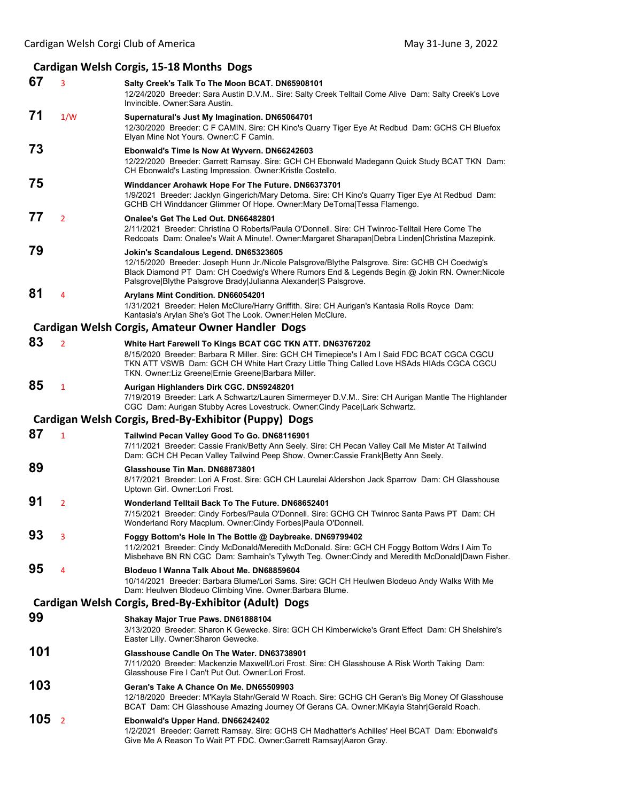# **Cardigan Welsh Corgis, 15‐18 Months Dogs**

| 67  | 3              | Salty Creek's Talk To The Moon BCAT. DN65908101<br>12/24/2020 Breeder: Sara Austin D.V.M Sire: Salty Creek Telltail Come Alive Dam: Salty Creek's Love<br>Invincible, Owner: Sara Austin.                                                                                                                    |  |
|-----|----------------|--------------------------------------------------------------------------------------------------------------------------------------------------------------------------------------------------------------------------------------------------------------------------------------------------------------|--|
| 71  | 1/W            | Supernatural's Just My Imagination. DN65064701<br>12/30/2020 Breeder: C F CAMIN. Sire: CH Kino's Quarry Tiger Eye At Redbud Dam: GCHS CH Bluefox<br>Elyan Mine Not Yours. Owner: C F Camin.                                                                                                                  |  |
| 73  |                | Ebonwald's Time Is Now At Wyvern. DN66242603<br>12/22/2020 Breeder: Garrett Ramsay. Sire: GCH CH Ebonwald Madegann Quick Study BCAT TKN Dam:<br>CH Ebonwald's Lasting Impression. Owner:Kristle Costello.                                                                                                    |  |
| 75  |                | Winddancer Arohawk Hope For The Future. DN66373701<br>1/9/2021 Breeder: Jacklyn Gingerich/Mary Detoma. Sire: CH Kino's Quarry Tiger Eye At Redbud Dam:<br>GCHB CH Winddancer Glimmer Of Hope. Owner: Mary DeToma Tessa Flamengo.                                                                             |  |
| 77  | $\overline{2}$ | Onalee's Get The Led Out. DN66482801<br>2/11/2021 Breeder: Christina O Roberts/Paula O'Donnell. Sire: CH Twinroc-Telltail Here Come The<br>Redcoats Dam: Onalee's Wait A Minute!. Owner:Margaret Sharapan Debra Linden Christina Mazepink.                                                                   |  |
| 79  |                | Jokin's Scandalous Legend. DN65323605<br>12/15/2020 Breeder: Joseph Hunn Jr./Nicole Palsgrove/Blythe Palsgrove. Sire: GCHB CH Coedwig's<br>Black Diamond PT Dam: CH Coedwig's Where Rumors End & Legends Begin @ Jokin RN. Owner: Nicole<br>Palsgrove Blythe Palsgrove Brady Julianna Alexander S Palsgrove. |  |
| 81  | 4              | Arylans Mint Condition. DN66054201<br>1/31/2021 Breeder: Helen McClure/Harry Griffith. Sire: CH Aurigan's Kantasia Rolls Royce Dam:<br>Kantasia's Arylan She's Got The Look. Owner: Helen McClure.                                                                                                           |  |
|     |                | Cardigan Welsh Corgis, Amateur Owner Handler Dogs                                                                                                                                                                                                                                                            |  |
| 83  | $\overline{2}$ | White Hart Farewell To Kings BCAT CGC TKN ATT. DN63767202<br>8/15/2020 Breeder: Barbara R Miller. Sire: GCH CH Timepiece's I Am I Said FDC BCAT CGCA CGCU<br>TKN ATT VSWB Dam: GCH CH White Hart Crazy Little Thing Called Love HSAds HIAds CGCA CGCU<br>TKN. Owner: Liz Greene Ernie Greene Barbara Miller. |  |
| 85  | $\mathbf{1}$   | Aurigan Highlanders Dirk CGC. DN59248201<br>7/19/2019 Breeder: Lark A Schwartz/Lauren Simermeyer D.V.M Sire: CH Aurigan Mantle The Highlander<br>CGC Dam: Aurigan Stubby Acres Lovestruck. Owner: Cindy Pace Lark Schwartz.                                                                                  |  |
|     |                | Cardigan Welsh Corgis, Bred-By-Exhibitor (Puppy) Dogs                                                                                                                                                                                                                                                        |  |
| 87  | $\mathbf{1}$   | Tailwind Pecan Valley Good To Go. DN68116901<br>7/11/2021 Breeder: Cassie Frank/Betty Ann Seely. Sire: CH Pecan Valley Call Me Mister At Tailwind<br>Dam: GCH CH Pecan Valley Tailwind Peep Show. Owner:Cassie Frank   Betty Ann Seely.                                                                      |  |
| 89  |                | Glasshouse Tin Man. DN68873801<br>8/17/2021 Breeder: Lori A Frost. Sire: GCH CH Laurelai Aldershon Jack Sparrow Dam: CH Glasshouse<br>Uptown Girl. Owner:Lori Frost.                                                                                                                                         |  |
| 91  | $\overline{2}$ | Wonderland Telltail Back To The Future. DN68652401<br>7/15/2021 Breeder: Cindy Forbes/Paula O'Donnell. Sire: GCHG CH Twinroc Santa Paws PT Dam: CH<br>Wonderland Rory Macplum. Owner: Cindy Forbes Paula O'Donnell.                                                                                          |  |
| 93  | 3              | Foggy Bottom's Hole In The Bottle @ Daybreake. DN69799402<br>11/2/2021 Breeder: Cindy McDonald/Meredith McDonald. Sire: GCH CH Foggy Bottom Wdrs I Aim To<br>Misbehave BN RN CGC Dam: Samhain's Tylwyth Teg. Owner:Cindy and Meredith McDonald Dawn Fisher.                                                  |  |
| 95  | 4              | Blodeuo I Wanna Talk About Me. DN68859604<br>10/14/2021 Breeder: Barbara Blume/Lori Sams. Sire: GCH CH Heulwen Blodeuo Andy Walks With Me<br>Dam: Heulwen Blodeuo Climbing Vine. Owner: Barbara Blume.                                                                                                       |  |
|     |                | Cardigan Welsh Corgis, Bred-By-Exhibitor (Adult) Dogs                                                                                                                                                                                                                                                        |  |
| 99  |                | Shakay Major True Paws. DN61888104<br>3/13/2020 Breeder: Sharon K Gewecke. Sire: GCH CH Kimberwicke's Grant Effect Dam: CH Shelshire's<br>Easter Lilly. Owner: Sharon Gewecke.                                                                                                                               |  |
| 101 |                | Glasshouse Candle On The Water. DN63738901<br>7/11/2020 Breeder: Mackenzie Maxwell/Lori Frost. Sire: CH Glasshouse A Risk Worth Taking Dam:<br>Glasshouse Fire I Can't Put Out. Owner:Lori Frost.                                                                                                            |  |
| 103 |                | Geran's Take A Chance On Me. DN65509903<br>12/18/2020 Breeder: M'Kayla Stahr/Gerald W Roach. Sire: GCHG CH Geran's Big Money Of Glasshouse<br>BCAT Dam: CH Glasshouse Amazing Journey Of Gerans CA. Owner:MKayla Stahr Gerald Roach.                                                                         |  |
| 105 | $\overline{2}$ | Ebonwald's Upper Hand. DN66242402<br>1/2/2021 Breeder: Garrett Ramsay. Sire: GCHS CH Madhatter's Achilles' Heel BCAT Dam: Ebonwald's<br>Give Me A Reason To Wait PT FDC. Owner: Garrett Ramsay Aaron Gray.                                                                                                   |  |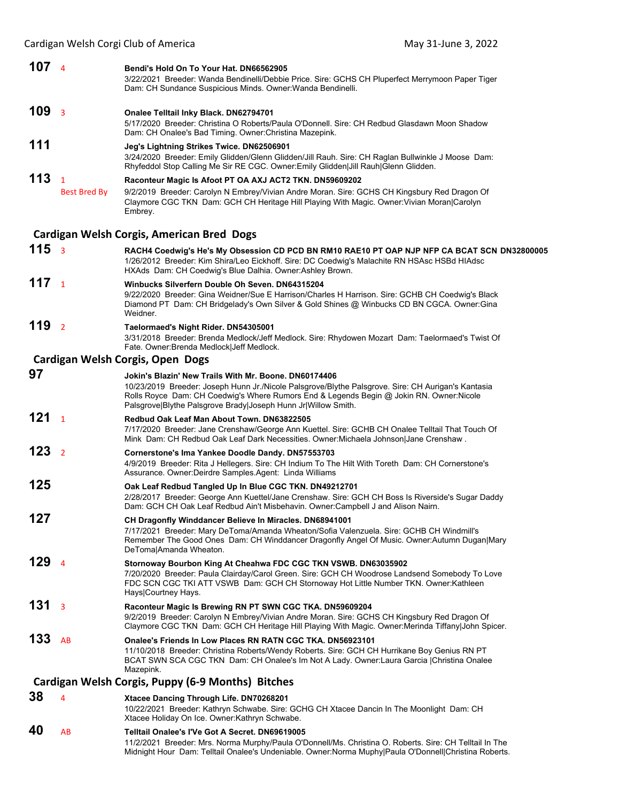Cardigan Welsh Corgi Club of America May 31‐June 3, 2022

### **107** <sup>4</sup> **Bendi's Hold On To Your Hat. DN66562905**

3/22/2021 Breeder: Wanda Bendinelli/Debbie Price. Sire: GCHS CH Pluperfect Merrymoon Paper Tiger Dam: CH Sundance Suspicious Minds. Owner:Wanda Bendinelli.

### **109** <sup>3</sup> **Onalee Telltail Inky Black. DN62794701**

5/17/2020 Breeder: Christina O Roberts/Paula O'Donnell. Sire: CH Redbud Glasdawn Moon Shadow Dam: CH Onalee's Bad Timing. Owner:Christina Mazepink.

### **111 Jeg's Lightning Strikes Twice. DN62506901**

3/24/2020 Breeder: Emily Glidden/Glenn Glidden/Jill Rauh. Sire: CH Raglan Bullwinkle J Moose Dam: Rhyfeddol Stop Calling Me Sir RE CGC. Owner:Emily Glidden|Jill Rauh|Glenn Glidden.

## **113** <sup>1</sup> **Raconteur Magic Is Afoot PT OA AXJ ACT2 TKN. DN59609202**

Best Bred By 9/2/2019 Breeder: Carolyn N Embrey/Vivian Andre Moran. Sire: GCHS CH Kingsbury Red Dragon Of Claymore CGC TKN Dam: GCH CH Heritage Hill Playing With Magic. Owner:Vivian Moran|Carolyn Embrey.

#### **Cardigan Welsh Corgis, American Bred Dogs**

- **115** <sup>3</sup> **RACH4 Coedwig's He's My Obsession CD PCD BN RM10 RAE10 PT OAP NJP NFP CA BCAT SCN DN32800005** 1/26/2012 Breeder: Kim Shira/Leo Eickhoff. Sire: DC Coedwig's Malachite RN HSAsc HSBd HIAdsc HXAds Dam: CH Coedwig's Blue Dalhia. Owner:Ashley Brown. **117** <sup>1</sup> **Winbucks Silverfern Double Oh Seven. DN64315204**
	- 9/22/2020 Breeder: Gina Weidner/Sue E Harrison/Charles H Harrison. Sire: GCHB CH Coedwig's Black Diamond PT Dam: CH Bridgelady's Own Silver & Gold Shines @ Winbucks CD BN CGCA. Owner:Gina Weidner.
- **119** <sup>2</sup> **Taelormaed's Night Rider. DN54305001**

3/31/2018 Breeder: Brenda Medlock/Jeff Medlock. Sire: Rhydowen Mozart Dam: Taelormaed's Twist Of Fate. Owner:Brenda Medlock|Jeff Medlock.

Midnight Hour Dam: Telltail Onalee's Undeniable. Owner:Norma Muphy|Paula O'Donnell|Christina Roberts.

### **Cardigan Welsh Corgis, Open Dogs**

| 97  |                | Jokin's Blazin' New Trails With Mr. Boone, DN60174406<br>10/23/2019 Breeder: Joseph Hunn Jr./Nicole Palsgrove/Blythe Palsgrove. Sire: CH Aurigan's Kantasia<br>Rolls Royce Dam: CH Coedwig's Where Rumors End & Legends Begin @ Jokin RN. Owner:Nicole<br>Palsgrove Blythe Palsgrove Brady Joseph Hunn Jr Willow Smith. |  |
|-----|----------------|-------------------------------------------------------------------------------------------------------------------------------------------------------------------------------------------------------------------------------------------------------------------------------------------------------------------------|--|
| 121 | $\overline{1}$ | Redbud Oak Leaf Man About Town, DN63822505<br>7/17/2020 Breeder: Jane Crenshaw/George Ann Kuettel. Sire: GCHB CH Onalee Telltail That Touch Of<br>Mink Dam: CH Redbud Oak Leaf Dark Necessities. Owner:Michaela Johnson Jane Crenshaw.                                                                                  |  |
| 123 | $\overline{2}$ | Cornerstone's Ima Yankee Doodle Dandy. DN57553703<br>4/9/2019 Breeder: Rita J Hellegers. Sire: CH Indium To The Hilt With Toreth Dam: CH Cornerstone's<br>Assurance. Owner: Deirdre Samples. Agent: Linda Williams                                                                                                      |  |
| 125 |                | Oak Leaf Redbud Tangled Up In Blue CGC TKN. DN49212701<br>2/28/2017 Breeder: George Ann Kuettel/Jane Crenshaw. Sire: GCH CH Boss Is Riverside's Sugar Daddy<br>Dam: GCH CH Oak Leaf Redbud Ain't Misbehavin. Owner:Campbell J and Alison Nairn.                                                                         |  |
| 127 |                | CH Dragonfly Winddancer Believe In Miracles. DN68941001<br>7/17/2021 Breeder: Mary DeToma/Amanda Wheaton/Sofia Valenzuela. Sire: GCHB CH Windmill's<br>Remember The Good Ones Dam: CH Winddancer Dragonfly Angel Of Music. Owner:Autumn Dugan Mary<br>DeToma Amanda Wheaton.                                            |  |
| 129 | $\Delta$       | Stornoway Bourbon King At Cheahwa FDC CGC TKN VSWB. DN63035902<br>7/20/2020 Breeder: Paula Clairday/Carol Green. Sire: GCH CH Woodrose Landsend Somebody To Love<br>FDC SCN CGC TKI ATT VSWB Dam: GCH CH Stornoway Hot Little Number TKN. Owner:Kathleen<br>Hays Courtney Hays.                                         |  |
| 131 | $\overline{3}$ | Raconteur Magic Is Brewing RN PT SWN CGC TKA. DN59609204<br>9/2/2019 Breeder: Carolyn N Embrey/Vivian Andre Moran, Sire: GCHS CH Kingsbury Red Dragon Of<br>Claymore CGC TKN Dam: GCH CH Heritage Hill Playing With Magic. Owner: Merinda Tiffany John Spicer.                                                          |  |
| 133 | AB             | Onalee's Friends In Low Places RN RATN CGC TKA, DN56923101<br>11/10/2018 Breeder: Christina Roberts/Wendy Roberts. Sire: GCH CH Hurrikane Boy Genius RN PT<br>BCAT SWN SCA CGC TKN Dam: CH Onalee's Im Not A Lady. Owner: Laura Garcia   Christina Onalee<br>Mazepink.                                                  |  |
|     |                | Cardigan Welsh Corgis, Puppy (6-9 Months) Bitches                                                                                                                                                                                                                                                                       |  |
| 38  | 4              | Xtacee Dancing Through Life. DN70268201<br>10/22/2021 Breeder: Kathryn Schwabe. Sire: GCHG CH Xtacee Dancin In The Moonlight Dam: CH<br>Xtacee Holiday On Ice. Owner: Kathryn Schwabe.                                                                                                                                  |  |
| 40  | AB             | Telltail Onalee's I'Ve Got A Secret, DN69619005<br>11/2/2021 Breeder: Mrs. Norma Murphy/Paula O'Donnell/Ms. Christina O. Roberts. Sire: CH Telltail In The                                                                                                                                                              |  |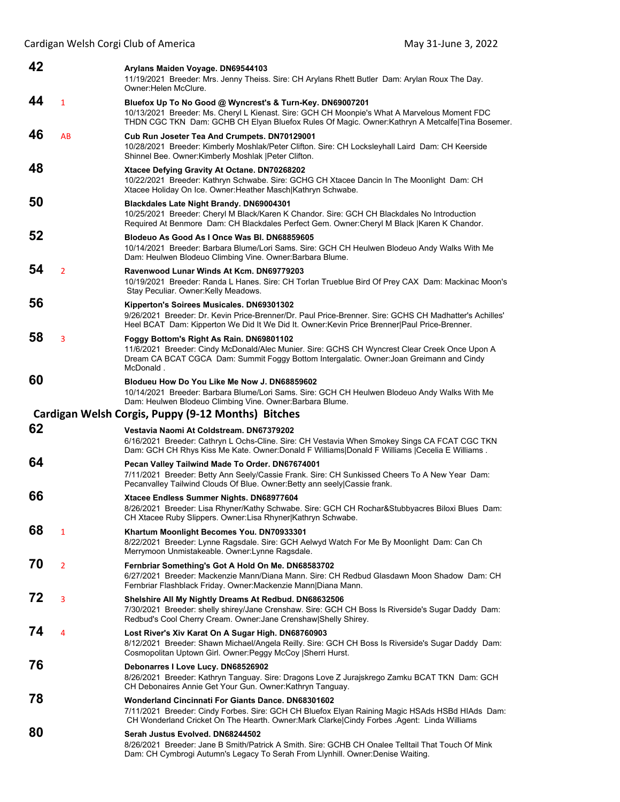| 42 |                | Arylans Maiden Voyage. DN69544103<br>11/19/2021 Breeder: Mrs. Jenny Theiss. Sire: CH Arylans Rhett Butler Dam: Arylan Roux The Day.<br>Owner: Helen McClure.                                                                                                |  |
|----|----------------|-------------------------------------------------------------------------------------------------------------------------------------------------------------------------------------------------------------------------------------------------------------|--|
| 44 | $\mathbf{1}$   | Bluefox Up To No Good @ Wyncrest's & Turn-Key. DN69007201<br>10/13/2021 Breeder: Ms. Cheryl L Kienast. Sire: GCH CH Moonpie's What A Marvelous Moment FDC<br>THDN CGC TKN Dam: GCHB CH Elyan Bluefox Rules Of Magic. Owner:Kathryn A Metcalfe Tina Bosemer. |  |
| 46 | AB             | Cub Run Joseter Tea And Crumpets. DN70129001<br>10/28/2021 Breeder: Kimberly Moshlak/Peter Clifton. Sire: CH Locksleyhall Laird Dam: CH Keerside<br>Shinnel Bee. Owner: Kimberly Moshlak   Peter Clifton.                                                   |  |
| 48 |                | Xtacee Defying Gravity At Octane. DN70268202<br>10/22/2021 Breeder: Kathryn Schwabe. Sire: GCHG CH Xtacee Dancin In The Moonlight Dam: CH<br>Xtacee Holiday On Ice. Owner: Heather Masch Kathryn Schwabe.                                                   |  |
| 50 |                | <b>Blackdales Late Night Brandy. DN69004301</b><br>10/25/2021 Breeder: Cheryl M Black/Karen K Chandor. Sire: GCH CH Blackdales No Introduction<br>Required At Benmore Dam: CH Blackdales Perfect Gem. Owner: Cheryl M Black   Karen K Chandor.              |  |
| 52 |                | Blodeuo As Good As I Once Was BI. DN68859605<br>10/14/2021 Breeder: Barbara Blume/Lori Sams. Sire: GCH CH Heulwen Blodeuo Andy Walks With Me<br>Dam: Heulwen Blodeuo Climbing Vine. Owner: Barbara Blume.                                                   |  |
| 54 | $\overline{2}$ | Ravenwood Lunar Winds At Kcm. DN69779203<br>10/19/2021 Breeder: Randa L Hanes. Sire: CH Torlan Trueblue Bird Of Prey CAX Dam: Mackinac Moon's<br>Stay Peculiar. Owner: Kelly Meadows.                                                                       |  |
| 56 |                | Kipperton's Soirees Musicales. DN69301302<br>9/26/2021 Breeder: Dr. Kevin Price-Brenner/Dr. Paul Price-Brenner. Sire: GCHS CH Madhatter's Achilles'<br>Heel BCAT Dam: Kipperton We Did It We Did It. Owner: Kevin Price Brenner Paul Price-Brenner.         |  |
| 58 | 3              | Foggy Bottom's Right As Rain. DN69801102<br>11/6/2021 Breeder: Cindy McDonald/Alec Munier. Sire: GCHS CH Wyncrest Clear Creek Once Upon A<br>Dream CA BCAT CGCA Dam: Summit Foggy Bottom Intergalatic. Owner: Joan Greimann and Cindy<br>McDonald.          |  |
| 60 |                | Blodueu How Do You Like Me Now J. DN68859602<br>10/14/2021 Breeder: Barbara Blume/Lori Sams. Sire: GCH CH Heulwen Blodeuo Andy Walks With Me<br>Dam: Heulwen Blodeuo Climbing Vine. Owner: Barbara Blume.                                                   |  |
|    |                | Cardigan Welsh Corgis, Puppy (9-12 Months) Bitches                                                                                                                                                                                                          |  |
| 62 |                | Vestavia Naomi At Coldstream. DN67379202<br>6/16/2021 Breeder: Cathryn L Ochs-Cline. Sire: CH Vestavia When Smokey Sings CA FCAT CGC TKN<br>Dam: GCH CH Rhys Kiss Me Kate. Owner:Donald F Williams Donald F Williams  Cecelia E Williams.                   |  |
| 64 |                | Pecan Valley Tailwind Made To Order. DN67674001<br>7/11/2021 Breeder: Betty Ann Seely/Cassie Frank. Sire: CH Sunkissed Cheers To A New Year Dam:<br>Pecanvalley Tailwind Clouds Of Blue. Owner: Betty ann seely Cassie frank.                               |  |
| 66 |                | Xtacee Endless Summer Nights. DN68977604<br>8/26/2021 Breeder: Lisa Rhyner/Kathy Schwabe. Sire: GCH CH Rochar&Stubbyacres Biloxi Blues Dam:<br>CH Xtacee Ruby Slippers. Owner: Lisa Rhyner Kathryn Schwabe.                                                 |  |
| 68 | 1              | Khartum Moonlight Becomes You. DN70933301<br>8/22/2021 Breeder: Lynne Ragsdale. Sire: GCH Aelwyd Watch For Me By Moonlight Dam: Can Ch<br>Merrymoon Unmistakeable. Owner: Lynne Ragsdale.                                                                   |  |
| 70 | $\overline{2}$ |                                                                                                                                                                                                                                                             |  |
| 72 |                | Fernbriar Something's Got A Hold On Me. DN68583702<br>6/27/2021 Breeder: Mackenzie Mann/Diana Mann. Sire: CH Redbud Glasdawn Moon Shadow Dam: CH<br>Fernbriar Flashblack Friday. Owner: Mackenzie Mann   Diana Mann.                                        |  |
|    | 3              | Shelshire All My Nightly Dreams At Redbud. DN68632506<br>7/30/2021 Breeder: shelly shirey/Jane Crenshaw. Sire: GCH CH Boss Is Riverside's Sugar Daddy Dam:<br>Redbud's Cool Cherry Cream. Owner: Jane Crenshaw Shelly Shirey.                               |  |
| 74 | 4              | Lost River's Xiv Karat On A Sugar High. DN68760903<br>8/12/2021 Breeder: Shawn Michael/Angela Reilly. Sire: GCH CH Boss Is Riverside's Sugar Daddy Dam:<br>Cosmopolitan Uptown Girl. Owner: Peggy McCoy   Sherri Hurst.                                     |  |
| 76 |                | Debonarres I Love Lucy. DN68526902<br>8/26/2021 Breeder: Kathryn Tanguay. Sire: Dragons Love Z Jurajskrego Zamku BCAT TKN Dam: GCH<br>CH Debonaires Annie Get Your Gun. Owner: Kathryn Tanguay.                                                             |  |
| 78 |                | Wonderland Cincinnati For Giants Dance. DN68301602<br>7/11/2021 Breeder: Cindy Forbes. Sire: GCH CH Bluefox Elyan Raining Magic HSAds HSBd HIAds Dam:<br>CH Wonderland Cricket On The Hearth. Owner: Mark Clarke Cindy Forbes . Agent: Linda Williams       |  |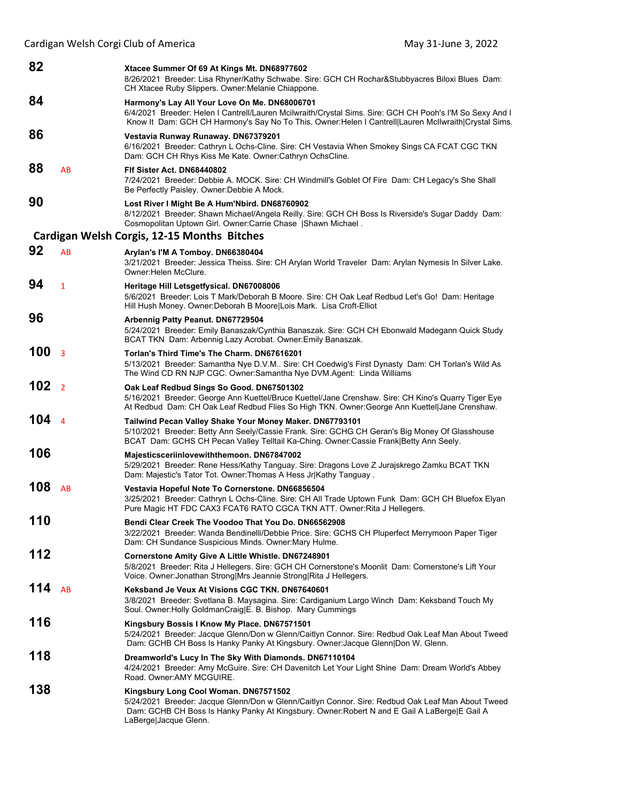| 82  |                | Xtacee Summer Of 69 At Kings Mt. DN68977602<br>8/26/2021 Breeder: Lisa Rhyner/Kathy Schwabe. Sire: GCH CH Rochar&Stubbyacres Biloxi Blues Dam:<br>CH Xtacee Ruby Slippers. Owner: Melanie Chiappone.                                                                |  |
|-----|----------------|---------------------------------------------------------------------------------------------------------------------------------------------------------------------------------------------------------------------------------------------------------------------|--|
| 84  |                | Harmony's Lay All Your Love On Me. DN68006701<br>6/4/2021 Breeder: Helen I Cantrell/Lauren Mcilwraith/Crystal Sims. Sire: GCH CH Pooh's I'M So Sexy And I<br>Know It Dam: GCH CH Harmony's Say No To This. Owner: Helen I Cantrell Lauren McIlwraith Crystal Sims.  |  |
| 86  |                | Vestavia Runway Runaway. DN67379201<br>6/16/2021 Breeder: Cathryn L Ochs-Cline. Sire: CH Vestavia When Smokey Sings CA FCAT CGC TKN<br>Dam: GCH CH Rhys Kiss Me Kate. Owner:Cathryn OchsCline.                                                                      |  |
| 88  | AB             | FIf Sister Act. DN68440802<br>7/24/2021 Breeder: Debbie A. MOCK. Sire: CH Windmill's Goblet Of Fire Dam: CH Legacy's She Shall<br>Be Perfectly Paisley. Owner: Debbie A Mock.                                                                                       |  |
| 90  |                | Lost River I Might Be A Hum'Nbird. DN68760902<br>8/12/2021 Breeder: Shawn Michael/Angela Reilly. Sire: GCH CH Boss Is Riverside's Sugar Daddy Dam:<br>Cosmopolitan Uptown Girl. Owner:Carrie Chase   Shawn Michael.                                                 |  |
|     |                | Cardigan Welsh Corgis, 12-15 Months Bitches                                                                                                                                                                                                                         |  |
| 92  | AB             | Arylan's I'M A Tomboy. DN66380404<br>3/21/2021 Breeder: Jessica Theiss. Sire: CH Arylan World Traveler Dam: Arylan Nymesis In Silver Lake.<br>Owner:Helen McClure.                                                                                                  |  |
| 94  | $\mathbf{1}$   | Heritage Hill Letsgetfysical. DN67008006<br>5/6/2021 Breeder: Lois T Mark/Deborah B Moore. Sire: CH Oak Leaf Redbud Let's Go! Dam: Heritage<br>Hill Hush Money. Owner:Deborah B Moore Lois Mark. Lisa Croft-Elliot                                                  |  |
| 96  |                | Arbennig Patty Peanut. DN67729504<br>5/24/2021 Breeder: Emily Banaszak/Cynthia Banaszak. Sire: GCH CH Ebonwald Madegann Quick Study<br>BCAT TKN Dam: Arbennig Lazy Acrobat. Owner: Emily Banaszak.                                                                  |  |
| 100 | $\overline{3}$ | Torlan's Third Time's The Charm. DN67616201<br>5/13/2021 Breeder: Samantha Nye D.V.M Sire: CH Coedwig's First Dynasty Dam: CH Torlan's Wild As<br>The Wind CD RN NJP CGC. Owner:Samantha Nye DVM.Agent: Linda Williams                                              |  |
| 102 | $\overline{2}$ | Oak Leaf Redbud Sings So Good. DN67501302<br>5/16/2021 Breeder: George Ann Kuettel/Bruce Kuettel/Jane Crenshaw. Sire: CH Kino's Quarry Tiger Eye<br>At Redbud Dam: CH Oak Leaf Redbud Flies So High TKN. Owner:George Ann Kuettel Jane Crenshaw.                    |  |
| 104 | $\overline{4}$ | Tailwind Pecan Valley Shake Your Money Maker. DN67793101<br>5/10/2021 Breeder: Betty Ann Seely/Cassie Frank. Sire: GCHG CH Geran's Big Money Of Glasshouse<br>BCAT Dam: GCHS CH Pecan Valley Telltail Ka-Ching. Owner:Cassie Frank Betty Ann Seely.                 |  |
| 106 |                | Majesticsceriinlovewiththemoon. DN67847002<br>5/29/2021 Breeder: Rene Hess/Kathy Tanguay. Sire: Dragons Love Z Jurajskrego Zamku BCAT TKN<br>Dam: Majestic's Tator Tot. Owner: Thomas A Hess Jr Kathy Tanguay.                                                      |  |
| 108 | AB             | Vestavia Hopeful Note To Cornerstone. DN66856504<br>3/25/2021 Breeder: Cathryn L Ochs-Cline. Sire: CH All Trade Uptown Funk Dam: GCH CH Bluefox Elyan<br>Pure Magic HT FDC CAX3 FCAT6 RATO CGCA TKN ATT. Owner:Rita J Hellegers.                                    |  |
| 110 |                | Bendi Clear Creek The Voodoo That You Do. DN66562908<br>3/22/2021 Breeder: Wanda Bendinelli/Debbie Price. Sire: GCHS CH Pluperfect Merrymoon Paper Tiger<br>Dam: CH Sundance Suspicious Minds. Owner: Mary Hulme.                                                   |  |
| 112 |                | Cornerstone Amity Give A Little Whistle. DN67248901<br>5/8/2021 Breeder: Rita J Hellegers. Sire: GCH CH Cornerstone's Moonlit Dam: Cornerstone's Lift Your<br>Voice. Owner: Jonathan Strong Mrs Jeannie Strong Rita J Hellegers.                                    |  |
| 114 | AB             | Keksband Je Veux At Visions CGC TKN, DN67640601<br>3/8/2021 Breeder: Svetlana B. Maysagina. Sire: Cardiganium Largo Winch Dam: Keksband Touch My<br>Soul. Owner: Holly Goldman Craig E. B. Bishop. Mary Cummings                                                    |  |
| 116 |                | Kingsbury Bossis I Know My Place. DN67571501<br>5/24/2021 Breeder: Jacque Glenn/Don w Glenn/Caitlyn Connor. Sire: Redbud Oak Leaf Man About Tweed<br>Dam: GCHB CH Boss Is Hanky Panky At Kingsbury. Owner:Jacque Glenn Don W. Glenn.                                |  |
| 118 |                | Dreamworld's Lucy In The Sky With Diamonds. DN67110104<br>4/24/2021 Breeder: Amy McGuire. Sire: CH Davenitch Let Your Light Shine Dam: Dream World's Abbey<br>Road. Owner: AMY MCGUIRE.                                                                             |  |
| 138 |                | Kingsbury Long Cool Woman. DN67571502<br>5/24/2021 Breeder: Jacque Glenn/Don w Glenn/Caitlyn Connor. Sire: Redbud Oak Leaf Man About Tweed<br>Dam: GCHB CH Boss Is Hanky Panky At Kingsbury. Owner: Robert N and E Gail A LaBerge E Gail A<br>LaBerge Jacque Glenn. |  |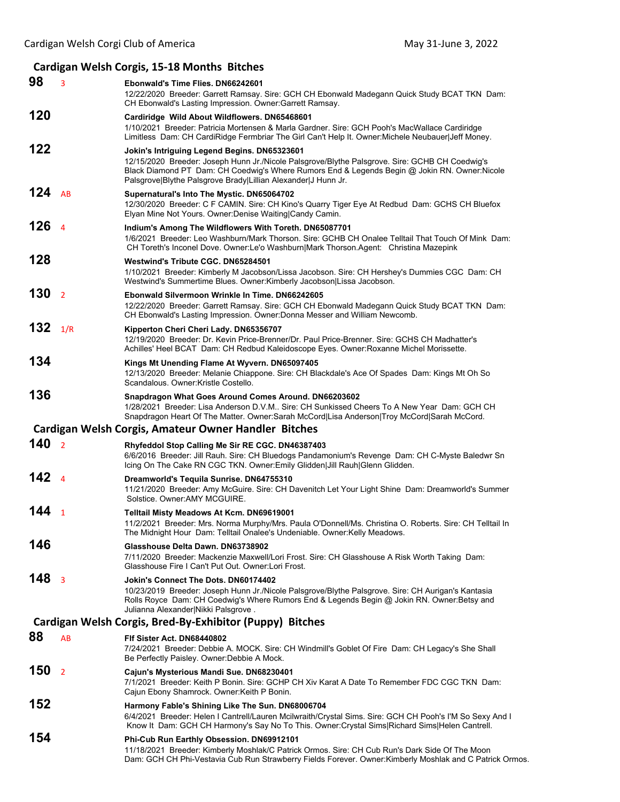#### **Cardigan Welsh Corgis, 15‐18 Months Bitches 98** <sup>3</sup> **Ebonwald's Time Flies. DN66242601** 12/22/2020 Breeder: Garrett Ramsay. Sire: GCH CH Ebonwald Madegann Quick Study BCAT TKN Dam: CH Ebonwald's Lasting Impression. Owner:Garrett Ramsay. **120 Cardiridge Wild About Wildflowers. DN65468601** 1/10/2021 Breeder: Patricia Mortensen & Marla Gardner. Sire: GCH Pooh's MacWallace Cardiridge Limitless Dam: CH CardiRidge Fermbriar The Girl Can't Help It. Owner:Michele Neubauer|Jeff Money. **122 Jokin's Intriguing Legend Begins. DN65323601** 12/15/2020 Breeder: Joseph Hunn Jr./Nicole Palsgrove/Blythe Palsgrove. Sire: GCHB CH Coedwig's Black Diamond PT Dam: CH Coedwig's Where Rumors End & Legends Begin @ Jokin RN. Owner:Nicole Palsgrove|Blythe Palsgrove Brady|Lillian Alexander|J Hunn Jr. **124** AB **Supernatural's Into The Mystic. DN65064702** 12/30/2020 Breeder: C F CAMIN. Sire: CH Kino's Quarry Tiger Eye At Redbud Dam: GCHS CH Bluefox Elyan Mine Not Yours. Owner:Denise Waiting|Candy Camin. **126** <sup>4</sup> **Indium's Among The Wildflowers With Toreth. DN65087701** 1/6/2021 Breeder: Leo Washburn/Mark Thorson. Sire: GCHB CH Onalee Telltail That Touch Of Mink Dam: CH Toreth's Inconel Dove. Owner:Le'o Washburn|Mark Thorson.Agent: Christina Mazepink **128 Westwind's Tribute CGC. DN65284501** 1/10/2021 Breeder: Kimberly M Jacobson/Lissa Jacobson. Sire: CH Hershey's Dummies CGC Dam: CH Westwind's Summertime Blues. Owner:Kimberly Jacobson|Lissa Jacobson. **130** <sup>2</sup> **Ebonwald Silvermoon Wrinkle In Time. DN66242605** 12/22/2020 Breeder: Garrett Ramsay. Sire: GCH CH Ebonwald Madegann Quick Study BCAT TKN Dam: CH Ebonwald's Lasting Impression. Owner:Donna Messer and William Newcomb. **132** 1/R **Kipperton Cheri Cheri Lady. DN65356707** 12/19/2020 Breeder: Dr. Kevin Price-Brenner/Dr. Paul Price-Brenner. Sire: GCHS CH Madhatter's Achilles' Heel BCAT Dam: CH Redbud Kaleidoscope Eyes. Owner:Roxanne Michel Morissette. **134 Kings Mt Unending Flame At Wyvern. DN65097405** 12/13/2020 Breeder: Melanie Chiappone. Sire: CH Blackdale's Ace Of Spades Dam: Kings Mt Oh So Scandalous. Owner:Kristle Costello. **136 Snapdragon What Goes Around Comes Around. DN66203602** 1/28/2021 Breeder: Lisa Anderson D.V.M.. Sire: CH Sunkissed Cheers To A New Year Dam: GCH CH Snapdragon Heart Of The Matter. Owner:Sarah McCord|Lisa Anderson|Troy McCord|Sarah McCord. **Cardigan Welsh Corgis, Amateur Owner Handler Bitches 140** <sup>2</sup> **Rhyfeddol Stop Calling Me Sir RE CGC. DN46387403** 6/6/2016 Breeder: Jill Rauh. Sire: CH Bluedogs Pandamonium's Revenge Dam: CH C-Myste Baledwr Sn Icing On The Cake RN CGC TKN. Owner:Emily Glidden|Jill Rauh|Glenn Glidden. **142** <sup>4</sup> **Dreamworld's Tequila Sunrise. DN64755310** 11/21/2020 Breeder: Amy McGuire. Sire: CH Davenitch Let Your Light Shine Dam: Dreamworld's Summer Solstice. Owner:AMY MCGUIRE. **144** <sup>1</sup> **Telltail Misty Meadows At Kcm. DN69619001** 11/2/2021 Breeder: Mrs. Norma Murphy/Mrs. Paula O'Donnell/Ms. Christina O. Roberts. Sire: CH Telltail In The Midnight Hour Dam: Telltail Onalee's Undeniable. Owner:Kelly Meadows. **146 Glasshouse Delta Dawn. DN63738902** 7/11/2020 Breeder: Mackenzie Maxwell/Lori Frost. Sire: CH Glasshouse A Risk Worth Taking Dam: Glasshouse Fire I Can't Put Out. Owner:Lori Frost. **148** <sup>3</sup> **Jokin's Connect The Dots. DN60174402** 10/23/2019 Breeder: Joseph Hunn Jr./Nicole Palsgrove/Blythe Palsgrove. Sire: CH Aurigan's Kantasia Rolls Royce Dam: CH Coedwig's Where Rumors End & Legends Begin @ Jokin RN. Owner:Betsy and Julianna Alexander|Nikki Palsgrove . **Cardigan Welsh Corgis, Bred‐By‐Exhibitor (Puppy) Bitches 88** AB **Flf Sister Act. DN68440802** 7/24/2021 Breeder: Debbie A. MOCK. Sire: CH Windmill's Goblet Of Fire Dam: CH Legacy's She Shall Be Perfectly Paisley. Owner:Debbie A Mock. **150** <sup>2</sup> **Cajun's Mysterious Mandi Sue. DN68230401** 7/1/2021 Breeder: Keith P Bonin. Sire: GCHP CH Xiv Karat A Date To Remember FDC CGC TKN Dam: Cajun Ebony Shamrock. Owner:Keith P Bonin. **152 Harmony Fable's Shining Like The Sun. DN68006704** 6/4/2021 Breeder: Helen I Cantrell/Lauren Mcilwraith/Crystal Sims. Sire: GCH CH Pooh's I'M So Sexy And I Know It Dam: GCH CH Harmony's Say No To This. Owner:Crystal Sims|Richard Sims|Helen Cantrell. **154 Phi-Cub Run Earthly Obsession. DN69912101** 11/18/2021 Breeder: Kimberly Moshlak/C Patrick Ormos. Sire: CH Cub Run's Dark Side Of The Moon Dam: GCH CH Phi-Vestavia Cub Run Strawberry Fields Forever. Owner:Kimberly Moshlak and C Patrick Ormos.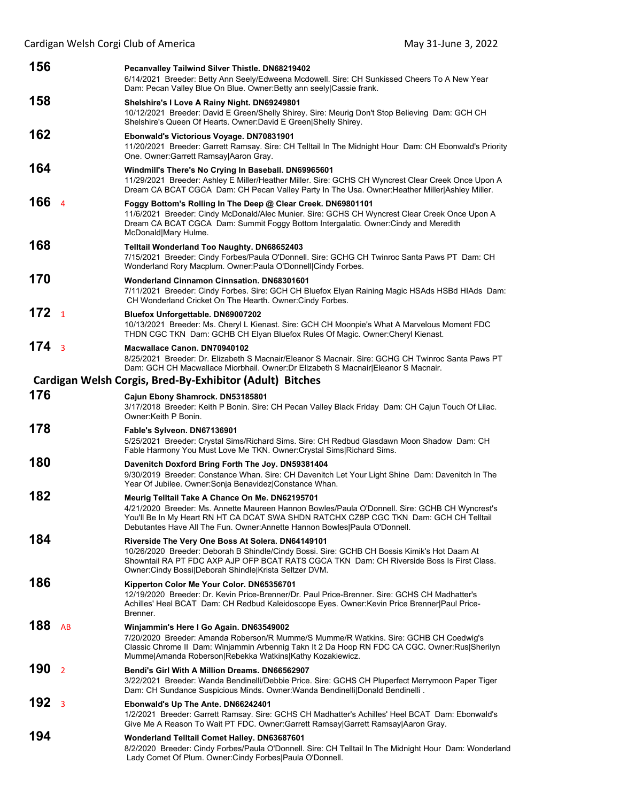| 156              |                | Pecanvalley Tailwind Silver Thistle. DN68219402<br>6/14/2021 Breeder: Betty Ann Seely/Edweena Mcdowell. Sire: CH Sunkissed Cheers To A New Year<br>Dam: Pecan Valley Blue On Blue. Owner: Betty ann seely Cassie frank.                                                                                                  |
|------------------|----------------|--------------------------------------------------------------------------------------------------------------------------------------------------------------------------------------------------------------------------------------------------------------------------------------------------------------------------|
| 158              |                | Shelshire's I Love A Rainy Night. DN69249801<br>10/12/2021 Breeder: David E Green/Shelly Shirey. Sire: Meurig Don't Stop Believing Dam: GCH CH<br>Shelshire's Queen Of Hearts. Owner:David E Green Shelly Shirey.                                                                                                        |
| 162              |                | Ebonwald's Victorious Voyage. DN70831901<br>11/20/2021 Breeder: Garrett Ramsay. Sire: CH Telltail In The Midnight Hour Dam: CH Ebonwald's Priority<br>One. Owner:Garrett Ramsay Aaron Gray.                                                                                                                              |
| 164              |                | Windmill's There's No Crying In Baseball. DN69965601<br>11/29/2021 Breeder: Ashley E Miller/Heather Miller. Sire: GCHS CH Wyncrest Clear Creek Once Upon A<br>Dream CA BCAT CGCA Dam: CH Pecan Valley Party In The Usa. Owner: Heather Miller Ashley Miller.                                                             |
| 166 4            |                | Foggy Bottom's Rolling In The Deep @ Clear Creek. DN69801101<br>11/6/2021 Breeder: Cindy McDonald/Alec Munier. Sire: GCHS CH Wyncrest Clear Creek Once Upon A<br>Dream CA BCAT CGCA Dam: Summit Foggy Bottom Intergalatic. Owner:Cindy and Meredith<br>McDonald Mary Hulme.                                              |
| 168              |                | <b>Telltail Wonderland Too Naughty. DN68652403</b><br>7/15/2021 Breeder: Cindy Forbes/Paula O'Donnell. Sire: GCHG CH Twinroc Santa Paws PT Dam: CH<br>Wonderland Rory Macplum. Owner: Paula O'Donnell Cindy Forbes.                                                                                                      |
| 170              |                | <b>Wonderland Cinnamon Cinnsation, DN68301601</b><br>7/11/2021 Breeder: Cindy Forbes. Sire: GCH CH Bluefox Elyan Raining Magic HSAds HSBd HIAds Dam:<br>CH Wonderland Cricket On The Hearth. Owner: Cindy Forbes.                                                                                                        |
| 172 <sub>1</sub> |                | Bluefox Unforgettable. DN69007202<br>10/13/2021 Breeder: Ms. Cheryl L Kienast. Sire: GCH CH Moonpie's What A Marvelous Moment FDC<br>THDN CGC TKN Dam: GCHB CH Elyan Bluefox Rules Of Magic. Owner:Cheryl Kienast.                                                                                                       |
| 174 <sub>3</sub> |                | Macwallace Canon, DN70940102<br>8/25/2021 Breeder: Dr. Elizabeth S Macnair/Eleanor S Macnair. Sire: GCHG CH Twinroc Santa Paws PT<br>Dam: GCH CH Macwallace Miorbhail. Owner: Dr Elizabeth S Macnair Eleanor S Macnair.                                                                                                  |
|                  |                | Cardigan Welsh Corgis, Bred-By-Exhibitor (Adult) Bitches                                                                                                                                                                                                                                                                 |
| 176              |                | Cajun Ebony Shamrock. DN53185801<br>3/17/2018 Breeder: Keith P Bonin. Sire: CH Pecan Valley Black Friday Dam: CH Cajun Touch Of Lilac.<br>Owner:Keith P Bonin.                                                                                                                                                           |
| 178              |                | Fable's Sylveon. DN67136901<br>5/25/2021 Breeder: Crystal Sims/Richard Sims. Sire: CH Redbud Glasdawn Moon Shadow Dam: CH<br>Fable Harmony You Must Love Me TKN. Owner: Crystal Sims Richard Sims.                                                                                                                       |
| 180              |                | Davenitch Doxford Bring Forth The Joy. DN59381404<br>9/30/2019 Breeder: Constance Whan. Sire: CH Davenitch Let Your Light Shine Dam: Davenitch In The<br>Year Of Jubilee. Owner: Sonja Benavidez Constance Whan.                                                                                                         |
| 182              |                | Meurig Telltail Take A Chance On Me. DN62195701<br>4/21/2020 Breeder: Ms. Annette Maureen Hannon Bowles/Paula O'Donnell. Sire: GCHB CH Wyncrest's<br>You'll Be In My Heart RN HT CA DCAT SWA SHDN RATCHX CZ8P CGC TKN Dam: GCH CH Telltail<br>Debutantes Have All The Fun. Owner: Annette Hannon Bowles Paula O'Donnell. |
| 184              |                | Riverside The Very One Boss At Solera. DN64149101<br>10/26/2020 Breeder: Deborah B Shindle/Cindy Bossi. Sire: GCHB CH Bossis Kimik's Hot Daam At<br>Showntail RA PT FDC AXP AJP OFP BCAT RATS CGCA TKN Dam: CH Riverside Boss Is First Class.<br>Owner:Cindy Bossi Deborah Shindle Krista Seltzer DVM.                   |
| 186              |                | Kipperton Color Me Your Color. DN65356701<br>12/19/2020 Breeder: Dr. Kevin Price-Brenner/Dr. Paul Price-Brenner. Sire: GCHS CH Madhatter's<br>Achilles' Heel BCAT Dam: CH Redbud Kaleidoscope Eyes. Owner: Kevin Price Brenner   Paul Price-<br>Brenner.                                                                 |
| 188              | AB             | Winjammin's Here I Go Again. DN63549002<br>7/20/2020 Breeder: Amanda Roberson/R Mumme/S Mumme/R Watkins. Sire: GCHB CH Coedwig's<br>Classic Chrome II Dam: Winjammin Arbennig Takn It 2 Da Hoop RN FDC CA CGC. Owner: Rus Sherilyn<br>Mumme Amanda Roberson Rebekka Watkins Kathy Kozakiewicz.                           |
| 190              | $\overline{2}$ | Bendi's Girl With A Million Dreams, DN66562907<br>3/22/2021 Breeder: Wanda Bendinelli/Debbie Price. Sire: GCHS CH Pluperfect Merrymoon Paper Tiger<br>Dam: CH Sundance Suspicious Minds. Owner: Wanda Bendinelli   Donald Bendinelli.                                                                                    |
| 192              | 3              | Ebonwald's Up The Ante. DN66242401<br>1/2/2021 Breeder: Garrett Ramsay. Sire: GCHS CH Madhatter's Achilles' Heel BCAT Dam: Ebonwald's<br>Give Me A Reason To Wait PT FDC. Owner:Garrett Ramsay Garrett Ramsay Aaron Gray.                                                                                                |
| 194              |                | Wonderland Telltail Comet Halley. DN63687601<br>8/2/2020 Breeder: Cindy Forbes/Paula O'Donnell. Sire: CH Telltail In The Midnight Hour Dam: Wonderland<br>Lady Comet Of Plum. Owner: Cindy Forbes Paula O'Donnell.                                                                                                       |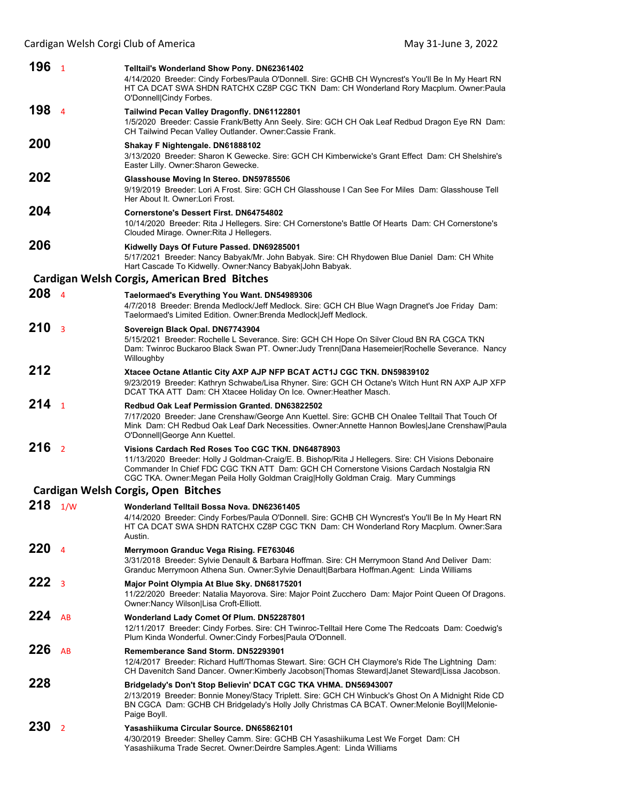| 196 <sub>1</sub> |                         | <b>Telltail's Wonderland Show Pony. DN62361402</b><br>4/14/2020 Breeder: Cindy Forbes/Paula O'Donnell. Sire: GCHB CH Wyncrest's You'll Be In My Heart RN<br>HT CA DCAT SWA SHDN RATCHX CZ8P CGC TKN Dam: CH Wonderland Rory Macplum. Owner:Paula<br>O'Donnell Cindy Forbes.                                                               |  |
|------------------|-------------------------|-------------------------------------------------------------------------------------------------------------------------------------------------------------------------------------------------------------------------------------------------------------------------------------------------------------------------------------------|--|
| 198              | $\overline{4}$          | Tailwind Pecan Valley Dragonfly. DN61122801<br>1/5/2020 Breeder: Cassie Frank/Betty Ann Seely. Sire: GCH CH Oak Leaf Redbud Dragon Eye RN Dam:<br>CH Tailwind Pecan Valley Outlander. Owner: Cassie Frank.                                                                                                                                |  |
| 200              |                         | Shakay F Nightengale. DN61888102<br>3/13/2020 Breeder: Sharon K Gewecke, Sire: GCH CH Kimberwicke's Grant Effect Dam: CH Shelshire's<br>Easter Lilly. Owner: Sharon Gewecke.                                                                                                                                                              |  |
| 202              |                         | Glasshouse Moving In Stereo. DN59785506<br>9/19/2019 Breeder: Lori A Frost. Sire: GCH CH Glasshouse I Can See For Miles Dam: Glasshouse Tell<br>Her About It. Owner: Lori Frost.                                                                                                                                                          |  |
| 204              |                         | <b>Cornerstone's Dessert First, DN64754802</b><br>10/14/2020 Breeder: Rita J Hellegers. Sire: CH Cornerstone's Battle Of Hearts Dam: CH Cornerstone's<br>Clouded Mirage. Owner: Rita J Hellegers.                                                                                                                                         |  |
| 206              |                         | Kidwelly Days Of Future Passed. DN69285001<br>5/17/2021 Breeder: Nancy Babyak/Mr. John Babyak. Sire: CH Rhydowen Blue Daniel Dam: CH White<br>Hart Cascade To Kidwelly. Owner: Nancy Babyak John Babyak.                                                                                                                                  |  |
|                  |                         | Cardigan Welsh Corgis, American Bred Bitches                                                                                                                                                                                                                                                                                              |  |
| 208 <sub>4</sub> |                         | Taelormaed's Everything You Want. DN54989306<br>4/7/2018 Breeder: Brenda Medlock/Jeff Medlock. Sire: GCH CH Blue Wagn Dragnet's Joe Friday Dam:<br>Taelormaed's Limited Edition. Owner: Brenda Medlock Jeff Medlock.                                                                                                                      |  |
| 210              | $\overline{\mathbf{3}}$ | Sovereign Black Opal. DN67743904<br>5/15/2021 Breeder: Rochelle L Severance. Sire: GCH CH Hope On Silver Cloud BN RA CGCA TKN<br>Dam: Twinroc Buckaroo Black Swan PT. Owner: Judy Trenn Dana Hasemeier Rochelle Severance. Nancy<br>Willoughby                                                                                            |  |
| 212              |                         | Xtacee Octane Atlantic City AXP AJP NFP BCAT ACT1J CGC TKN. DN59839102<br>9/23/2019 Breeder: Kathryn Schwabe/Lisa Rhyner. Sire: GCH CH Octane's Witch Hunt RN AXP AJP XFP<br>DCAT TKA ATT Dam: CH Xtacee Holiday On Ice. Owner: Heather Masch.                                                                                            |  |
| 214              | $\overline{1}$          | <b>Redbud Oak Leaf Permission Granted, DN63822502</b><br>7/17/2020 Breeder: Jane Crenshaw/George Ann Kuettel. Sire: GCHB CH Onalee Telltail That Touch Of<br>Mink Dam: CH Redbud Oak Leaf Dark Necessities. Owner:Annette Hannon Bowles Jane Crenshaw Paula<br>O'Donnell George Ann Kuettel.                                              |  |
| 216              | $\overline{2}$          | Visions Cardach Red Roses Too CGC TKN, DN64878903<br>11/13/2020 Breeder: Holly J Goldman-Craig/E. B. Bishop/Rita J Hellegers. Sire: CH Visions Debonaire<br>Commander In Chief FDC CGC TKN ATT Dam: GCH CH Cornerstone Visions Cardach Nostalgia RN<br>CGC TKA. Owner: Megan Peila Holly Goldman Craig Holly Goldman Craig. Mary Cummings |  |
|                  |                         | Cardigan Welsh Corgis, Open Bitches                                                                                                                                                                                                                                                                                                       |  |
| 218              | 1/W                     | Wonderland Telltail Bossa Nova. DN62361405                                                                                                                                                                                                                                                                                                |  |
|                  |                         | 4/14/2020 Breeder: Cindy Forbes/Paula O'Donnell. Sire: GCHB CH Wyncrest's You'll Be In My Heart RN<br>HT CA DCAT SWA SHDN RATCHX CZ8P CGC TKN Dam: CH Wonderland Rory Macplum. Owner:Sara<br>Austin.                                                                                                                                      |  |
| 220              | $\overline{a}$          | Merrymoon Granduc Vega Rising. FE763046<br>3/31/2018 Breeder: Sylvie Denault & Barbara Hoffman. Sire: CH Merrymoon Stand And Deliver Dam:<br>Granduc Merrymoon Athena Sun. Owner:Sylvie Denault Barbara Hoffman.Agent: Linda Williams                                                                                                     |  |
| 222              | $\overline{3}$          | Major Point Olympia At Blue Sky. DN68175201<br>11/22/2020 Breeder: Natalia Mayorova. Sire: Major Point Zucchero Dam: Major Point Queen Of Dragons.<br>Owner: Nancy Wilson   Lisa Croft-Elliott.                                                                                                                                           |  |
| 224              | AB                      | Wonderland Lady Comet Of Plum. DN52287801<br>12/11/2017 Breeder: Cindy Forbes. Sire: CH Twinroc-Telltail Here Come The Redcoats Dam: Coedwig's<br>Plum Kinda Wonderful. Owner: Cindy Forbes Paula O'Donnell.                                                                                                                              |  |
| 226              | AB                      | Rememberance Sand Storm. DN52293901<br>12/4/2017 Breeder: Richard Huff/Thomas Stewart. Sire: GCH CH Claymore's Ride The Lightning Dam:<br>CH Davenitch Sand Dancer. Owner:Kimberly Jacobson Thomas Steward Janet Steward Lissa Jacobson.                                                                                                  |  |
| 228              |                         | Bridgelady's Don't Stop Believin' DCAT CGC TKA VHMA. DN56943007<br>2/13/2019 Breeder: Bonnie Money/Stacy Triplett. Sire: GCH CH Winbuck's Ghost On A Midnight Ride CD<br>BN CGCA Dam: GCHB CH Bridgelady's Holly Jolly Christmas CA BCAT. Owner: Melonie Boyll Melonie-<br>Paige Boyll.                                                   |  |
| 230              | 2                       | Yasashiikuma Circular Source. DN65862101<br>4/30/2019 Breeder: Shelley Camm. Sire: GCHB CH Yasashiikuma Lest We Forget Dam: CH<br>Yasashiikuma Trade Secret. Owner:Deirdre Samples.Agent: Linda Williams                                                                                                                                  |  |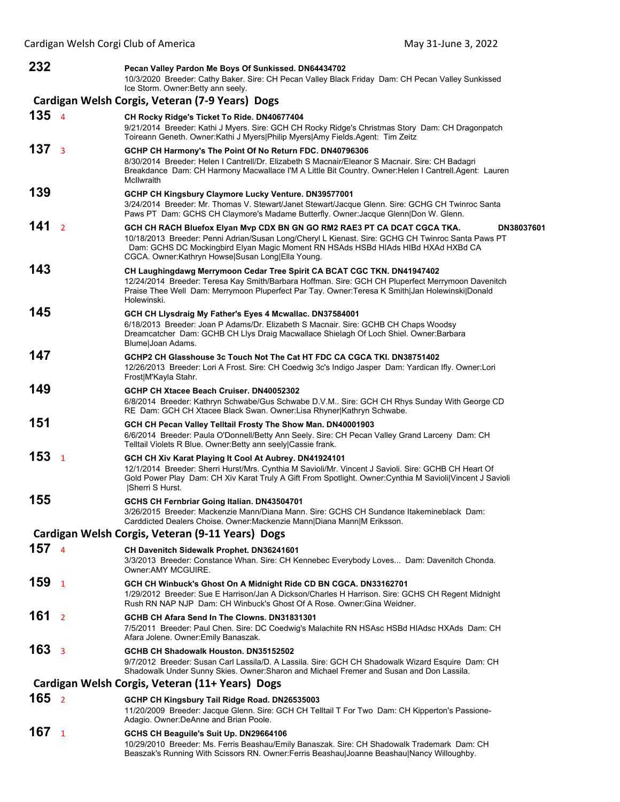| 232              |                         | Pecan Valley Pardon Me Boys Of Sunkissed. DN64434702<br>10/3/2020 Breeder: Cathy Baker. Sire: CH Pecan Valley Black Friday Dam: CH Pecan Valley Sunkissed<br>Ice Storm. Owner: Betty ann seely.                                                                                                                                      |
|------------------|-------------------------|--------------------------------------------------------------------------------------------------------------------------------------------------------------------------------------------------------------------------------------------------------------------------------------------------------------------------------------|
|                  |                         | Cardigan Welsh Corgis, Veteran (7-9 Years) Dogs                                                                                                                                                                                                                                                                                      |
| 135 <sub>4</sub> |                         | CH Rocky Ridge's Ticket To Ride. DN40677404<br>9/21/2014 Breeder: Kathi J Myers. Sire: GCH CH Rocky Ridge's Christmas Story Dam: CH Dragonpatch<br>Toireann Geneth. Owner:Kathi J Myers Philip Myers Amy Fields.Agent: Tim Zeitz                                                                                                     |
| 137 <sub>3</sub> |                         | GCHP CH Harmony's The Point Of No Return FDC. DN40796306<br>8/30/2014 Breeder: Helen I Cantrell/Dr. Elizabeth S Macnair/Eleanor S Macnair. Sire: CH Badagri<br>Breakdance Dam: CH Harmony Macwallace I'M A Little Bit Country. Owner: Helen I Cantrell. Agent: Lauren<br>McIlwraith                                                  |
| 139              |                         | GCHP CH Kingsbury Claymore Lucky Venture. DN39577001<br>3/24/2014 Breeder: Mr. Thomas V. Stewart/Janet Stewart/Jacque Glenn. Sire: GCHG CH Twinroc Santa<br>Paws PT Dam: GCHS CH Claymore's Madame Butterfly. Owner: Jacque Glenn Don W. Glenn.                                                                                      |
| 141              | $\overline{\mathbf{z}}$ | GCH CH RACH Bluefox Elyan Mvp CDX BN GN GO RM2 RAE3 PT CA DCAT CGCA TKA.<br>DN38037601<br>10/18/2013 Breeder: Penni Adrian/Susan Long/Cheryl L Kienast. Sire: GCHG CH Twinroc Santa Paws PT<br>Dam: GCHS DC Mockingbird Elyan Magic Moment RN HSAds HSBd HIAds HIBd HXAd HXBd CA<br>CGCA. Owner:Kathryn Howse Susan Long Ella Young. |
| 143              |                         | CH Laughingdawg Merrymoon Cedar Tree Spirit CA BCAT CGC TKN. DN41947402<br>12/24/2014 Breeder: Teresa Kay Smith/Barbara Hoffman. Sire: GCH CH Pluperfect Merrymoon Davenitch<br>Praise Thee Well Dam: Merrymoon Pluperfect Par Tay. Owner: Teresa K Smith Jan Holewinski Donald<br>Holewinski.                                       |
| 145              |                         | GCH CH Llysdraig My Father's Eyes 4 Mcwallac. DN37584001<br>6/18/2013 Breeder: Joan P Adams/Dr. Elizabeth S Macnair. Sire: GCHB CH Chaps Woodsy<br>Dreamcatcher Dam: GCHB CH Llys Draig Macwallace Shielagh Of Loch Shiel. Owner:Barbara<br>Blume Joan Adams.                                                                        |
| 147              |                         | GCHP2 CH Glasshouse 3c Touch Not The Cat HT FDC CA CGCA TKI. DN38751402<br>12/26/2013 Breeder: Lori A Frost. Sire: CH Coedwig 3c's Indigo Jasper Dam: Yardican Ifly. Owner: Lori<br>Frost M'Kayla Stahr.                                                                                                                             |
| 149              |                         | GCHP CH Xtacee Beach Cruiser. DN40052302<br>6/8/2014 Breeder: Kathryn Schwabe/Gus Schwabe D.V.M Sire: GCH CH Rhys Sunday With George CD<br>RE Dam: GCH CH Xtacee Black Swan. Owner: Lisa Rhyner Kathryn Schwabe.                                                                                                                     |
| 151              |                         | GCH CH Pecan Valley Telltail Frosty The Show Man. DN40001903<br>6/6/2014 Breeder: Paula O'Donnell/Betty Ann Seely. Sire: CH Pecan Valley Grand Larceny Dam: CH<br>Telltail Violets R Blue. Owner: Betty ann seely Cassie frank.                                                                                                      |
| 153              | $\mathbf{1}$            | GCH CH Xiv Karat Playing It Cool At Aubrey. DN41924101<br>12/1/2014 Breeder: Sherri Hurst/Mrs. Cynthia M Savioli/Mr. Vincent J Savioli. Sire: GCHB CH Heart Of<br>Gold Power Play Dam: CH Xiv Karat Truly A Gift From Spotlight. Owner:Cynthia M Savioli Vincent J Savioli<br> Sherri S Hurst.                                       |
| 155              |                         | GCHS CH Fernbriar Going Italian. DN43504701<br>3/26/2015 Breeder: Mackenzie Mann/Diana Mann. Sire: GCHS CH Sundance Itakemineblack Dam:<br>Carddicted Dealers Choise. Owner: Mackenzie Mann   Diana Mann   M Eriksson.                                                                                                               |
|                  |                         | Cardigan Welsh Corgis, Veteran (9-11 Years) Dogs                                                                                                                                                                                                                                                                                     |
| 1574             |                         | <b>CH Davenitch Sidewalk Prophet. DN36241601</b><br>3/3/2013 Breeder: Constance Whan. Sire: CH Kennebec Everybody Loves Dam: Davenitch Chonda.<br>Owner:AMY MCGUIRE.                                                                                                                                                                 |
| 159              | $\mathbf{1}$            | GCH CH Winbuck's Ghost On A Midnight Ride CD BN CGCA. DN33162701<br>1/29/2012 Breeder: Sue E Harrison/Jan A Dickson/Charles H Harrison. Sire: GCHS CH Regent Midnight<br>Rush RN NAP NJP Dam: CH Winbuck's Ghost Of A Rose. Owner: Gina Weidner.                                                                                     |
| 161              | $\overline{2}$          | GCHB CH Afara Send In The Clowns, DN31831301<br>7/5/2011 Breeder: Paul Chen. Sire: DC Coedwig's Malachite RN HSAsc HSBd HIAdsc HXAds Dam: CH<br>Afara Jolene. Owner: Emily Banaszak.                                                                                                                                                 |
| 163              | $\overline{3}$          | GCHB CH Shadowalk Houston. DN35152502<br>9/7/2012 Breeder: Susan Carl Lassila/D. A Lassila. Sire: GCH CH Shadowalk Wizard Esquire Dam: CH<br>Shadowalk Under Sunny Skies. Owner: Sharon and Michael Fremer and Susan and Don Lassila.                                                                                                |
|                  |                         | Cardigan Welsh Corgis, Veteran (11+ Years) Dogs                                                                                                                                                                                                                                                                                      |
| 165 <sub>2</sub> |                         | GCHP CH Kingsbury Tail Ridge Road. DN26535003<br>11/20/2009 Breeder: Jacque Glenn. Sire: GCH CH Telltail T For Two Dam: CH Kipperton's Passione-<br>Adagio. Owner:DeAnne and Brian Poole.                                                                                                                                            |
| 167              | $\mathbf{1}$            | GCHS CH Beaguile's Suit Up. DN29664106<br>10/29/2010 Breeder: Ms. Ferris Beashau/Emily Banaszak. Sire: CH Shadowalk Trademark Dam: CH<br>Beaszak's Running With Scissors RN. Owner: Ferris Beashau Joanne Beashau Nancy Willoughby.                                                                                                  |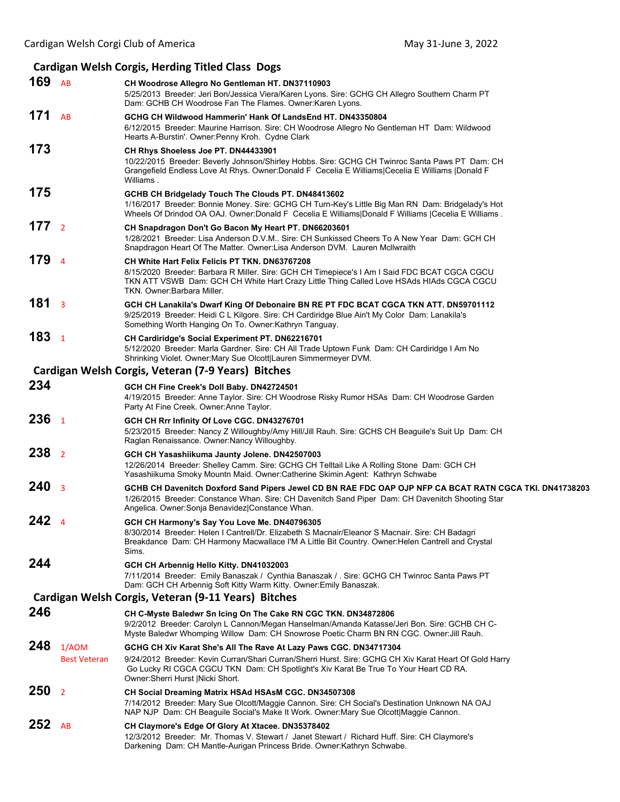## **Cardigan Welsh Corgis, Herding Titled Class Dogs**

| 169 $AB$         |                              | CH Woodrose Allegro No Gentleman HT. DN37110903<br>5/25/2013 Breeder: Jeri Bon/Jessica Viera/Karen Lyons. Sire: GCHG CH Allegro Southern Charm PT<br>Dam: GCHB CH Woodrose Fan The Flames. Owner: Karen Lyons.                                                                                            |
|------------------|------------------------------|-----------------------------------------------------------------------------------------------------------------------------------------------------------------------------------------------------------------------------------------------------------------------------------------------------------|
| 171              | <b>AB</b>                    | GCHG CH Wildwood Hammerin' Hank Of LandsEnd HT. DN43350804<br>6/12/2015 Breeder: Maurine Harrison. Sire: CH Woodrose Allegro No Gentleman HT Dam: Wildwood<br>Hearts A-Burstin'. Owner: Penny Kroh. Cydne Clark                                                                                           |
| 173              |                              | CH Rhys Shoeless Joe PT. DN44433901<br>10/22/2015 Breeder: Beverly Johnson/Shirley Hobbs. Sire: GCHG CH Twinroc Santa Paws PT Dam: CH<br>Grangefield Endless Love At Rhys. Owner:Donald F Cecelia E Williams Cecelia E Williams  Donald F<br>Williams.                                                    |
| 175              |                              | GCHB CH Bridgelady Touch The Clouds PT. DN48413602<br>1/16/2017 Breeder: Bonnie Money. Sire: GCHG CH Turn-Key's Little Big Man RN Dam: Bridgelady's Hot<br>Wheels Of Drindod OA OAJ. Owner:Donald F Cecelia E Williams Donald F Williams  Cecelia E Williams.                                             |
| 177 <sub>2</sub> |                              | CH Snapdragon Don't Go Bacon My Heart PT. DN66203601<br>1/28/2021 Breeder: Lisa Anderson D.V.M Sire: CH Sunkissed Cheers To A New Year Dam: GCH CH<br>Snapdragon Heart Of The Matter. Owner:Lisa Anderson DVM. Lauren McIlwraith                                                                          |
| 179              | $\overline{4}$               | <b>CH White Hart Felix Felicis PT TKN. DN63767208</b><br>8/15/2020 Breeder: Barbara R Miller. Sire: GCH CH Timepiece's I Am I Said FDC BCAT CGCA CGCU<br>TKN ATT VSWB Dam: GCH CH White Hart Crazy Little Thing Called Love HSAds HIAds CGCA CGCU<br>TKN. Owner:Barbara Miller.                           |
| 181 <sub>3</sub> |                              | GCH CH Lanakila's Dwarf King Of Debonaire BN RE PT FDC BCAT CGCA TKN ATT. DN59701112<br>9/25/2019 Breeder: Heidi C L Kilgore. Sire: CH Cardiridge Blue Ain't My Color Dam: Lanakila's<br>Something Worth Hanging On To. Owner: Kathryn Tanguay.                                                           |
| 183 <sub>1</sub> |                              | CH Cardiridge's Social Experiment PT. DN62216701<br>5/12/2020 Breeder: Marla Gardner. Sire: CH All Trade Uptown Funk Dam: CH Cardiridge I Am No<br>Shrinking Violet. Owner: Mary Sue Olcott Lauren Simmermeyer DVM.                                                                                       |
|                  |                              | Cardigan Welsh Corgis, Veteran (7-9 Years) Bitches                                                                                                                                                                                                                                                        |
| 234              |                              | GCH CH Fine Creek's Doll Baby. DN42724501<br>4/19/2015 Breeder: Anne Taylor. Sire: CH Woodrose Risky Rumor HSAs Dam: CH Woodrose Garden<br>Party At Fine Creek. Owner: Anne Taylor.                                                                                                                       |
| 236 <sub>1</sub> |                              | GCH CH Rrr Infinity Of Love CGC. DN43276701<br>5/23/2015 Breeder: Nancy Z Willoughby/Amy Hill/Jill Rauh. Sire: GCHS CH Beaguile's Suit Up Dam: CH<br>Raglan Renaissance. Owner: Nancy Willoughby.                                                                                                         |
| 238 <sub>2</sub> |                              | GCH CH Yasashiikuma Jaunty Jolene. DN42507003<br>12/26/2014 Breeder: Shelley Camm. Sire: GCHG CH Telltail Like A Rolling Stone Dam: GCH CH<br>Yasashiikuma Smoky Mountn Maid. Owner:Catherine Skimin.Agent: Kathryn Schwabe                                                                               |
| 240 <sub>3</sub> |                              | GCHB CH Davenitch Doxford Sand Pipers Jewel CD BN RAE FDC OAP OJP NFP CA BCAT RATN CGCA TKI. DN41738203<br>1/26/2015 Breeder: Constance Whan. Sire: CH Davenitch Sand Piper Dam: CH Davenitch Shooting Star<br>Angelica. Owner: Sonja Benavidez Constance Whan.                                           |
| 242 <sub>4</sub> |                              | GCH CH Harmony's Say You Love Me. DN40796305<br>8/30/2014 Breeder: Helen I Cantrell/Dr. Elizabeth S Macnair/Eleanor S Macnair. Sire: CH Badagri<br>Breakdance Dam: CH Harmony Macwallace I'M A Little Bit Country. Owner: Helen Cantrell and Crystal<br>Sims.                                             |
| 244              |                              | GCH CH Arbennig Hello Kitty. DN41032003<br>7/11/2014 Breeder: Emily Banaszak / Cynthia Banaszak / . Sire: GCHG CH Twinroc Santa Paws PT<br>Dam: GCH CH Arbennig Soft Kitty Warm Kitty. Owner: Emily Banaszak.                                                                                             |
|                  |                              | Cardigan Welsh Corgis, Veteran (9-11 Years) Bitches                                                                                                                                                                                                                                                       |
| 246              |                              | CH C-Myste Baledwr Sn Icing On The Cake RN CGC TKN. DN34872806<br>9/2/2012 Breeder: Carolyn L Cannon/Megan Hanselman/Amanda Katasse/Jeri Bon. Sire: GCHB CH C-<br>Myste Baledwr Whomping Willow Dam: CH Snowrose Poetic Charm BN RN CGC. Owner: Jill Rauh.                                                |
| 248              | 1/AOM<br><b>Best Veteran</b> | GCHG CH Xiv Karat She's All The Rave At Lazy Paws CGC. DN34717304<br>9/24/2012 Breeder: Kevin Curran/Shari Curran/Sherri Hurst. Sire: GCHG CH Xiv Karat Heart Of Gold Harry<br>Go Lucky RI CGCA CGCU TKN Dam: CH Spotlight's Xiv Karat Be True To Your Heart CD RA.<br>Owner: Sherri Hurst   Nicki Short. |
| 250              | 2                            | CH Social Dreaming Matrix HSAd HSAsM CGC. DN34507308<br>7/14/2012 Breeder: Mary Sue Olcott/Maggie Cannon. Sire: CH Social's Destination Unknown NA OAJ<br>NAP NJP Dam: CH Beaguile Social's Make It Work. Owner: Mary Sue Olcott Maggie Cannon.                                                           |
| 252              | AB                           | CH Claymore's Edge Of Glory At Xtacee. DN35378402<br>12/3/2012 Breeder: Mr. Thomas V. Stewart / Janet Stewart / Richard Huff. Sire: CH Claymore's<br>Darkening Dam: CH Mantle-Aurigan Princess Bride. Owner:Kathryn Schwabe.                                                                              |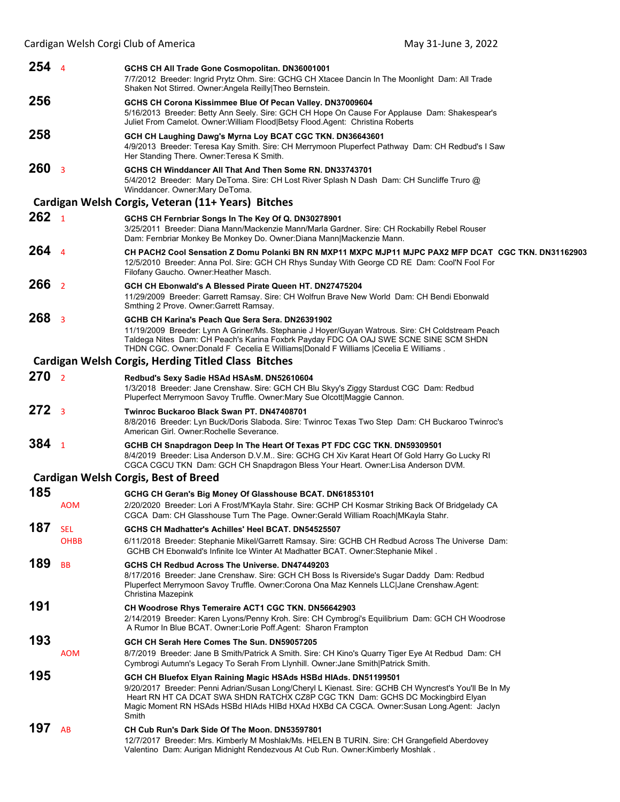| $254$ 4          |                           | GCHS CH All Trade Gone Cosmopolitan. DN36001001<br>7/7/2012 Breeder: Ingrid Prytz Ohm. Sire: GCHG CH Xtacee Dancin In The Moonlight Dam: All Trade<br>Shaken Not Stirred. Owner: Angela Reilly Theo Bernstein.                                                                                                                                                  |
|------------------|---------------------------|-----------------------------------------------------------------------------------------------------------------------------------------------------------------------------------------------------------------------------------------------------------------------------------------------------------------------------------------------------------------|
| 256              |                           | GCHS CH Corona Kissimmee Blue Of Pecan Valley. DN37009604                                                                                                                                                                                                                                                                                                       |
|                  |                           | 5/16/2013 Breeder: Betty Ann Seely. Sire: GCH CH Hope On Cause For Applause Dam: Shakespear's<br>Juliet From Camelot. Owner:William Flood Betsy Flood.Agent: Christina Roberts                                                                                                                                                                                  |
| 258              |                           | GCH CH Laughing Dawg's Myrna Loy BCAT CGC TKN. DN36643601<br>4/9/2013 Breeder: Teresa Kay Smith. Sire: CH Merrymoon Pluperfect Pathway Dam: CH Redbud's I Saw<br>Her Standing There. Owner: Teresa K Smith.                                                                                                                                                     |
| 260 <sub>3</sub> |                           | GCHS CH Winddancer All That And Then Some RN, DN33743701<br>5/4/2012 Breeder: Mary DeToma. Sire: CH Lost River Splash N Dash Dam: CH Suncliffe Truro @<br>Winddancer. Owner: Mary DeToma.                                                                                                                                                                       |
|                  |                           | Cardigan Welsh Corgis, Veteran (11+ Years) Bitches                                                                                                                                                                                                                                                                                                              |
| 262 <sub>1</sub> |                           | GCHS CH Fernbriar Songs In The Key Of Q. DN30278901<br>3/25/2011 Breeder: Diana Mann/Mackenzie Mann/Marla Gardner. Sire: CH Rockabilly Rebel Rouser<br>Dam: Fernbriar Monkey Be Monkey Do. Owner:Diana Mann Mackenzie Mann.                                                                                                                                     |
| $264$ 4          |                           | CH PACH2 Cool Sensation Z Domu Polanki BN RN MXP11 MXPC MJP11 MJPC PAX2 MFP DCAT CGC TKN. DN31162903<br>12/5/2010 Breeder: Anna Pol. Sire: GCH CH Rhys Sunday With George CD RE Dam: Cool'N Fool For<br>Filofany Gaucho. Owner: Heather Masch.                                                                                                                  |
| 266 <sub>2</sub> |                           | GCH CH Ebonwald's A Blessed Pirate Queen HT. DN27475204<br>11/29/2009 Breeder: Garrett Ramsay. Sire: CH Wolfrun Brave New World Dam: CH Bendi Ebonwald<br>Smthing 2 Prove. Owner: Garrett Ramsay.                                                                                                                                                               |
| 268 <sub>3</sub> |                           | GCHB CH Karina's Peach Que Sera Sera. DN26391902<br>11/19/2009 Breeder: Lynn A Griner/Ms. Stephanie J Hoyer/Guyan Watrous. Sire: CH Coldstream Peach<br>Taldega Nites Dam: CH Peach's Karina Foxbrk Payday FDC OA OAJ SWE SCNE SINE SCM SHDN<br>THDN CGC. Owner:Donald F Cecelia E Williams Donald F Williams  Cecelia E Williams.                              |
|                  |                           | <b>Cardigan Welsh Corgis, Herding Titled Class Bitches</b>                                                                                                                                                                                                                                                                                                      |
| 270 <sub>2</sub> |                           | Redbud's Sexy Sadie HSAd HSAsM. DN52610604<br>1/3/2018 Breeder: Jane Crenshaw. Sire: GCH CH Blu Skyy's Ziggy Stardust CGC Dam: Redbud<br>Pluperfect Merrymoon Savoy Truffle. Owner: Mary Sue Olcott Maggie Cannon.                                                                                                                                              |
| 272 <sub>3</sub> |                           | <b>Twinroc Buckaroo Black Swan PT, DN47408701</b><br>8/8/2016 Breeder: Lyn Buck/Doris Slaboda. Sire: Twinroc Texas Two Step Dam: CH Buckaroo Twinroc's<br>American Girl. Owner: Rochelle Severance.                                                                                                                                                             |
| 384 <sub>1</sub> |                           | GCHB CH Snapdragon Deep In The Heart Of Texas PT FDC CGC TKN. DN59309501<br>8/4/2019 Breeder: Lisa Anderson D.V.M Sire: GCHG CH Xiv Karat Heart Of Gold Harry Go Lucky RI<br>CGCA CGCU TKN Dam: GCH CH Snapdragon Bless Your Heart. Owner: Lisa Anderson DVM.                                                                                                   |
|                  |                           | <b>Cardigan Welsh Corgis, Best of Breed</b>                                                                                                                                                                                                                                                                                                                     |
| 185              |                           | GCHG CH Geran's Big Money Of Glasshouse BCAT. DN61853101                                                                                                                                                                                                                                                                                                        |
|                  | <b>AOM</b>                | 2/20/2020 Breeder: Lori A Frost/M'Kayla Stahr. Sire: GCHP CH Kosmar Striking Back Of Bridgelady CA<br>CGCA Dam: CH Glasshouse Turn The Page. Owner:Gerald William Roach MKayla Stahr.                                                                                                                                                                           |
| 187              | <b>SEL</b><br><b>OHBB</b> | GCHS CH Madhatter's Achilles' Heel BCAT, DN54525507<br>6/11/2018 Breeder: Stephanie Mikel/Garrett Ramsay. Sire: GCHB CH Redbud Across The Universe Dam:<br>GCHB CH Ebonwald's Infinite Ice Winter At Madhatter BCAT. Owner: Stephanie Mikel.                                                                                                                    |
| 189              | <b>BB</b>                 | GCHS CH Redbud Across The Universe. DN47449203<br>8/17/2016 Breeder: Jane Crenshaw. Sire: GCH CH Boss Is Riverside's Sugar Daddy Dam: Redbud<br>Pluperfect Merrymoon Savoy Truffle. Owner: Corona Ona Maz Kennels LLC Jane Crenshaw.Agent:<br>Christina Mazepink                                                                                                |
| 191              |                           | CH Woodrose Rhys Temeraire ACT1 CGC TKN. DN56642903<br>2/14/2019 Breeder: Karen Lyons/Penny Kroh. Sire: CH Cymbrogi's Equilibrium Dam: GCH CH Woodrose<br>A Rumor In Blue BCAT. Owner: Lorie Poff. Agent: Sharon Frampton                                                                                                                                       |
| 193              | <b>AOM</b>                | GCH CH Serah Here Comes The Sun. DN59057205<br>8/7/2019 Breeder: Jane B Smith/Patrick A Smith. Sire: CH Kino's Quarry Tiger Eye At Redbud Dam: CH<br>Cymbrogi Autumn's Legacy To Serah From Llynhill. Owner: Jane Smith Patrick Smith.                                                                                                                          |
| 195              |                           | GCH CH Bluefox Elyan Raining Magic HSAds HSBd HIAds. DN51199501<br>9/20/2017 Breeder: Penni Adrian/Susan Long/Cheryl L Kienast. Sire: GCHB CH Wyncrest's You'll Be In My<br>Heart RN HT CA DCAT SWA SHDN RATCHX CZ8P CGC TKN Dam: GCHS DC Mockingbird Elyan<br>Magic Moment RN HSAds HSBd HIAds HIBd HXAd HXBd CA CGCA. Owner:Susan Long.Agent: Jaclyn<br>Smith |
| 197              | AB                        | CH Cub Run's Dark Side Of The Moon. DN53597801<br>12/7/2017 Breeder: Mrs. Kimberly M Moshlak/Ms. HELEN B TURIN. Sire: CH Grangefield Aberdovey<br>Valentino Dam: Aurigan Midnight Rendezvous At Cub Run. Owner: Kimberly Moshlak.                                                                                                                               |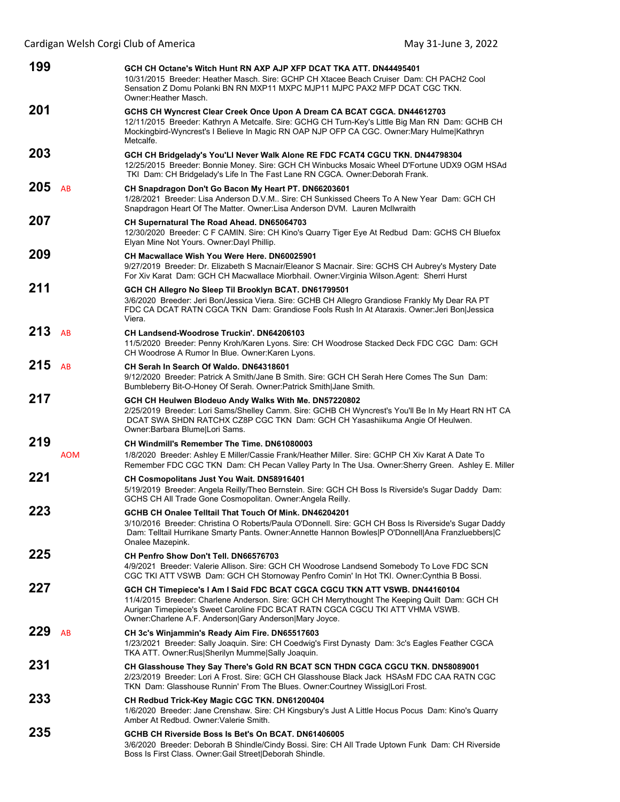| 199 |            | GCH CH Octane's Witch Hunt RN AXP AJP XFP DCAT TKA ATT. DN44495401<br>10/31/2015 Breeder: Heather Masch. Sire: GCHP CH Xtacee Beach Cruiser Dam: CH PACH2 Cool<br>Sensation Z Domu Polanki BN RN MXP11 MXPC MJP11 MJPC PAX2 MFP DCAT CGC TKN.<br>Owner: Heather Masch.                                                  |  |
|-----|------------|-------------------------------------------------------------------------------------------------------------------------------------------------------------------------------------------------------------------------------------------------------------------------------------------------------------------------|--|
| 201 |            | GCHS CH Wyncrest Clear Creek Once Upon A Dream CA BCAT CGCA. DN44612703<br>12/11/2015 Breeder: Kathryn A Metcalfe. Sire: GCHG CH Turn-Key's Little Big Man RN Dam: GCHB CH<br>Mockingbird-Wyncrest's I Believe In Magic RN OAP NJP OFP CA CGC. Owner: Mary Hulme Kathryn<br>Metcalfe.                                   |  |
| 203 |            | GCH CH Bridgelady's You'LI Never Walk Alone RE FDC FCAT4 CGCU TKN. DN44798304<br>12/25/2015 Breeder: Bonnie Money. Sire: GCH CH Winbucks Mosaic Wheel D'Fortune UDX9 OGM HSAd<br>TKI Dam: CH Bridgelady's Life In The Fast Lane RN CGCA. Owner:Deborah Frank.                                                           |  |
| 205 | AB         | CH Snapdragon Don't Go Bacon My Heart PT. DN66203601<br>1/28/2021 Breeder: Lisa Anderson D.V.M Sire: CH Sunkissed Cheers To A New Year Dam: GCH CH<br>Snapdragon Heart Of The Matter. Owner: Lisa Anderson DVM. Lauren McIlwraith                                                                                       |  |
| 207 |            | CH Supernatural The Road Ahead. DN65064703<br>12/30/2020 Breeder: C F CAMIN. Sire: CH Kino's Quarry Tiger Eye At Redbud Dam: GCHS CH Bluefox<br>Elyan Mine Not Yours. Owner: Dayl Phillip.                                                                                                                              |  |
| 209 |            | CH Macwallace Wish You Were Here, DN60025901<br>9/27/2019 Breeder: Dr. Elizabeth S Macnair/Eleanor S Macnair. Sire: GCHS CH Aubrey's Mystery Date<br>For Xiv Karat Dam: GCH CH Macwallace Miorbhail. Owner: Virginia Wilson. Agent: Sherri Hurst                                                                        |  |
| 211 |            | GCH CH Allegro No Sleep Til Brooklyn BCAT. DN61799501<br>3/6/2020 Breeder: Jeri Bon/Jessica Viera. Sire: GCHB CH Allegro Grandiose Frankly My Dear RA PT<br>FDC CA DCAT RATN CGCA TKN Dam: Grandiose Fools Rush In At Ataraxis. Owner: Jeri Bon Jessica<br>Viera.                                                       |  |
| 213 | AB         | <b>CH Landsend-Woodrose Truckin'. DN64206103</b><br>11/5/2020 Breeder: Penny Kroh/Karen Lyons. Sire: CH Woodrose Stacked Deck FDC CGC Dam: GCH<br>CH Woodrose A Rumor In Blue. Owner: Karen Lyons.                                                                                                                      |  |
| 215 | AB         | CH Serah In Search Of Waldo, DN64318601<br>9/12/2020 Breeder: Patrick A Smith/Jane B Smith. Sire: GCH CH Serah Here Comes The Sun Dam:<br>Bumbleberry Bit-O-Honey Of Serah. Owner: Patrick Smith Jane Smith.                                                                                                            |  |
| 217 |            | GCH CH Heulwen Blodeuo Andy Walks With Me. DN57220802<br>2/25/2019 Breeder: Lori Sams/Shelley Camm. Sire: GCHB CH Wyncrest's You'll Be In My Heart RN HT CA<br>DCAT SWA SHDN RATCHX CZ8P CGC TKN Dam: GCH CH Yasashiikuma Angie Of Heulwen.<br>Owner: Barbara Blume Lori Sams.                                          |  |
| 219 | <b>AOM</b> | CH Windmill's Remember The Time, DN61080003<br>1/8/2020 Breeder: Ashley E Miller/Cassie Frank/Heather Miller. Sire: GCHP CH Xiv Karat A Date To<br>Remember FDC CGC TKN Dam: CH Pecan Valley Party In The Usa. Owner: Sherry Green. Ashley E. Miller                                                                    |  |
| 221 |            | CH Cosmopolitans Just You Wait. DN58916401<br>5/19/2019 Breeder: Angela Reilly/Theo Bernstein. Sire: GCH CH Boss Is Riverside's Sugar Daddy Dam:<br>GCHS CH All Trade Gone Cosmopolitan. Owner: Angela Reilly.                                                                                                          |  |
| 223 |            | GCHB CH Onalee Telltail That Touch Of Mink. DN46204201<br>3/10/2016 Breeder: Christina O Roberts/Paula O'Donnell. Sire: GCH CH Boss Is Riverside's Sugar Daddy<br>Dam: Telltail Hurrikane Smarty Pants. Owner: Annette Hannon Bowles P O'Donnell Ana Franzluebbers C<br>Onalee Mazepink.                                |  |
| 225 |            | CH Penfro Show Don't Tell. DN66576703<br>4/9/2021 Breeder: Valerie Allison. Sire: GCH CH Woodrose Landsend Somebody To Love FDC SCN<br>CGC TKI ATT VSWB Dam: GCH CH Stornoway Penfro Comin' In Hot TKI. Owner: Cynthia B Bossi.                                                                                         |  |
| 227 |            | GCH CH Timepiece's I Am I Said FDC BCAT CGCA CGCU TKN ATT VSWB. DN44160104<br>11/4/2015 Breeder: Charlene Anderson. Sire: GCH CH Merrythought The Keeping Quilt Dam: GCH CH<br>Aurigan Timepiece's Sweet Caroline FDC BCAT RATN CGCA CGCU TKI ATT VHMA VSWB.<br>Owner: Charlene A.F. Anderson Gary Anderson Mary Joyce. |  |
| 229 | AB         | CH 3c's Winjammin's Ready Aim Fire. DN65517603<br>1/23/2021 Breeder: Sally Joaquin. Sire: CH Coedwig's First Dynasty Dam: 3c's Eagles Feather CGCA<br>TKA ATT. Owner:Rus Sherilyn Mumme Sally Joaquin.                                                                                                                  |  |
| 231 |            | CH Glasshouse They Say There's Gold RN BCAT SCN THDN CGCA CGCU TKN. DN58089001<br>2/23/2019 Breeder: Lori A Frost. Sire: GCH CH Glasshouse Black Jack HSAsM FDC CAA RATN CGC<br>TKN Dam: Glasshouse Runnin' From The Blues. Owner: Courtney Wissig Lori Frost.                                                          |  |
| 233 |            | CH Redbud Trick-Key Magic CGC TKN. DN61200404<br>1/6/2020 Breeder: Jane Crenshaw. Sire: CH Kingsbury's Just A Little Hocus Pocus Dam: Kino's Quarry<br>Amber At Redbud, Owner: Valerie Smith,                                                                                                                           |  |
| 235 |            | GCHB CH Riverside Boss Is Bet's On BCAT. DN61406005<br>3/6/2020 Breeder: Deborah B Shindle/Cindy Bossi. Sire: CH All Trade Uptown Funk Dam: CH Riverside<br>Boss Is First Class. Owner: Gail Street Deborah Shindle.                                                                                                    |  |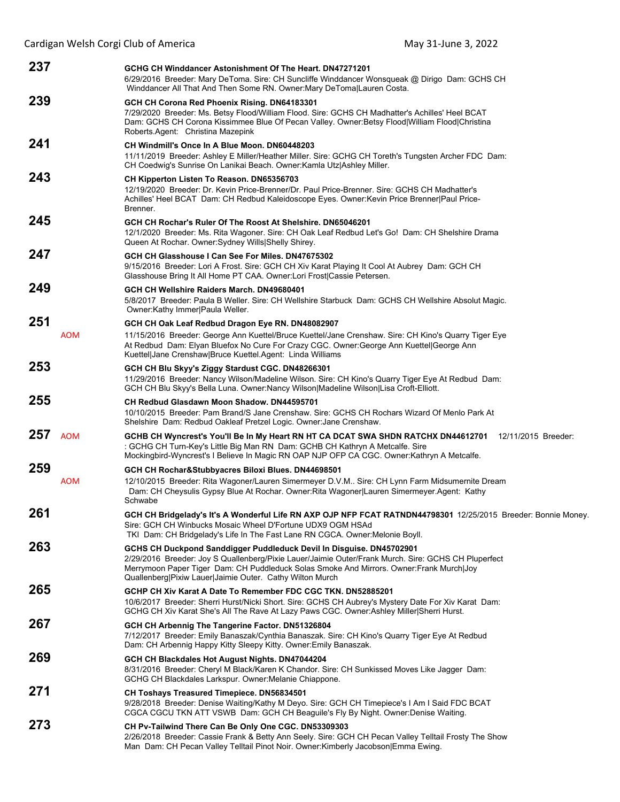| Cardigan Welsh Corgi Club of America<br>May 31-June 3, 2022 |                                                                                                                                                                                                                                                                                                                                     |  |
|-------------------------------------------------------------|-------------------------------------------------------------------------------------------------------------------------------------------------------------------------------------------------------------------------------------------------------------------------------------------------------------------------------------|--|
| 237                                                         | GCHG CH Winddancer Astonishment Of The Heart, DN47271201<br>6/29/2016 Breeder: Mary DeToma. Sire: CH Suncliffe Winddancer Wonsqueak @ Dirigo Dam: GCHS CH<br>Winddancer All That And Then Some RN. Owner: Mary DeToma Lauren Costa.                                                                                                 |  |
| 239                                                         | GCH CH Corona Red Phoenix Rising. DN64183301<br>7/29/2020 Breeder: Ms. Betsy Flood/William Flood. Sire: GCHS CH Madhatter's Achilles' Heel BCAT<br>Dam: GCHS CH Corona Kissimmee Blue Of Pecan Valley. Owner: Betsy Flood William Flood Christina<br>Roberts Agent: Christina Mazepink                                              |  |
| 241                                                         | CH Windmill's Once In A Blue Moon. DN60448203<br>11/11/2019 Breeder: Ashley E Miller/Heather Miller. Sire: GCHG CH Toreth's Tungsten Archer FDC Dam:<br>CH Coedwig's Sunrise On Lanikai Beach. Owner: Kamla Utz Ashley Miller.                                                                                                      |  |
| 243                                                         | CH Kipperton Listen To Reason. DN65356703<br>12/19/2020 Breeder: Dr. Kevin Price-Brenner/Dr. Paul Price-Brenner. Sire: GCHS CH Madhatter's<br>Achilles' Heel BCAT Dam: CH Redbud Kaleidoscope Eyes. Owner: Kevin Price Brenner   Paul Price-<br>Brenner.                                                                            |  |
| 245                                                         | GCH CH Rochar's Ruler Of The Roost At Shelshire, DN65046201<br>12/1/2020 Breeder: Ms. Rita Wagoner. Sire: CH Oak Leaf Redbud Let's Go! Dam: CH Shelshire Drama<br>Queen At Rochar. Owner: Sydney Wills Shelly Shirey.                                                                                                               |  |
| 247                                                         | GCH CH Glasshouse I Can See For Miles. DN47675302<br>9/15/2016 Breeder: Lori A Frost. Sire: GCH CH Xiv Karat Playing It Cool At Aubrey Dam: GCH CH<br>Glasshouse Bring It All Home PT CAA. Owner:Lori Frost Cassie Petersen.                                                                                                        |  |
| 249                                                         | GCH CH Wellshire Raiders March. DN49680401<br>5/8/2017 Breeder: Paula B Weller. Sire: CH Wellshire Starbuck Dam: GCHS CH Wellshire Absolut Magic.<br>Owner: Kathy Immer Paula Weller.                                                                                                                                               |  |
| 251<br><b>AOM</b>                                           | GCH CH Oak Leaf Redbud Dragon Eye RN. DN48082907<br>11/15/2016 Breeder: George Ann Kuettel/Bruce Kuettel/Jane Crenshaw. Sire: CH Kino's Quarry Tiger Eye<br>At Redbud Dam: Elyan Bluefox No Cure For Crazy CGC. Owner:George Ann Kuettel George Ann<br>Kuettel Jane Crenshaw Bruce Kuettel.Agent: Linda Williams                    |  |
| 253                                                         | GCH CH Blu Skyy's Ziggy Stardust CGC. DN48266301<br>11/29/2016 Breeder: Nancy Wilson/Madeline Wilson. Sire: CH Kino's Quarry Tiger Eye At Redbud Dam:<br>GCH CH Blu Skyy's Bella Luna. Owner:Nancy Wilson Madeline Wilson Lisa Croft-Elliott.                                                                                       |  |
| 255                                                         | CH Redbud Glasdawn Moon Shadow. DN44595701<br>10/10/2015 Breeder: Pam Brand/S Jane Crenshaw. Sire: GCHS CH Rochars Wizard Of Menlo Park At<br>Shelshire Dam: Redbud Oakleaf Pretzel Logic. Owner: Jane Crenshaw.                                                                                                                    |  |
| 257<br><b>AOM</b>                                           | GCHB CH Wyncrest's You'll Be In My Heart RN HT CA DCAT SWA SHDN RATCHX DN44612701 12/11/2015 Breeder:<br>: GCHG CH Turn-Key's Little Big Man RN Dam: GCHB CH Kathryn A Metcalfe. Sire<br>Mockingbird-Wyncrest's I Believe In Magic RN OAP NJP OFP CA CGC. Owner: Kathryn A Metcalfe.                                                |  |
| 259<br><b>AOM</b>                                           | GCH CH Rochar&Stubbyacres Biloxi Blues. DN44698501<br>12/10/2015 Breeder: Rita Wagoner/Lauren Simermeyer D.V.M Sire: CH Lynn Farm Midsumernite Dream<br>Dam: CH Cheysulis Gypsy Blue At Rochar. Owner: Rita Wagoner Lauren Simermeyer. Agent: Kathy<br>Schwabe                                                                      |  |
| 261                                                         | GCH CH Bridgelady's It's A Wonderful Life RN AXP OJP NFP FCAT RATNDN44798301 12/25/2015 Breeder: Bonnie Money.<br>Sire: GCH CH Winbucks Mosaic Wheel D'Fortune UDX9 OGM HSAd<br>TKI Dam: CH Bridgelady's Life In The Fast Lane RN CGCA. Owner:Melonie Boyll.                                                                        |  |
| 263                                                         | GCHS CH Duckpond Sanddigger Puddleduck Devil In Disguise. DN45702901<br>2/29/2016 Breeder: Joy S Quallenberg/Pixie Lauer/Jaimie Outer/Frank Murch. Sire: GCHS CH Pluperfect<br>Merrymoon Paper Tiger Dam: CH Puddleduck Solas Smoke And Mirrors. Owner: Frank Murch Joy<br>Quallenberg Pixiw Lauer Jaimie Outer. Cathy Wilton Murch |  |
| 265                                                         | GCHP CH Xiv Karat A Date To Remember FDC CGC TKN. DN52885201<br>10/6/2017 Breeder: Sherri Hurst/Nicki Short. Sire: GCHS CH Aubrey's Mystery Date For Xiv Karat Dam:<br>GCHG CH Xiv Karat She's All The Rave At Lazy Paws CGC. Owner:Ashley Miller Sherri Hurst.                                                                     |  |
| 267                                                         | GCH CH Arbennig The Tangerine Factor. DN51326804<br>7/12/2017 Breeder: Emily Banaszak/Cynthia Banaszak. Sire: CH Kino's Quarry Tiger Eye At Redbud<br>Dam: CH Arbennig Happy Kitty Sleepy Kitty. Owner: Emily Banaszak.                                                                                                             |  |
| 269                                                         | GCH CH Blackdales Hot August Nights. DN47044204<br>8/31/2016 Breeder: Cheryl M Black/Karen K Chandor. Sire: CH Sunkissed Moves Like Jagger Dam:<br>GCHG CH Blackdales Larkspur. Owner: Melanie Chiappone.                                                                                                                           |  |
| 271<br>^=^                                                  | <b>CH Toshays Treasured Timepiece. DN56834501</b><br>9/28/2018 Breeder: Denise Waiting/Kathy M Deyo. Sire: GCH CH Timepiece's I Am I Said FDC BCAT<br>CGCA CGCU TKN ATT VSWB Dam: GCH CH Beaguile's Fly By Night. Owner: Denise Waiting.                                                                                            |  |

**273 CH Pv-Tailwind There Can Be Only One CGC. DN53309303** 2/26/2018 Breeder: Cassie Frank & Betty Ann Seely. Sire: GCH CH Pecan Valley Telltail Frosty The Show Man Dam: CH Pecan Valley Telltail Pinot Noir. Owner:Kimberly Jacobson|Emma Ewing.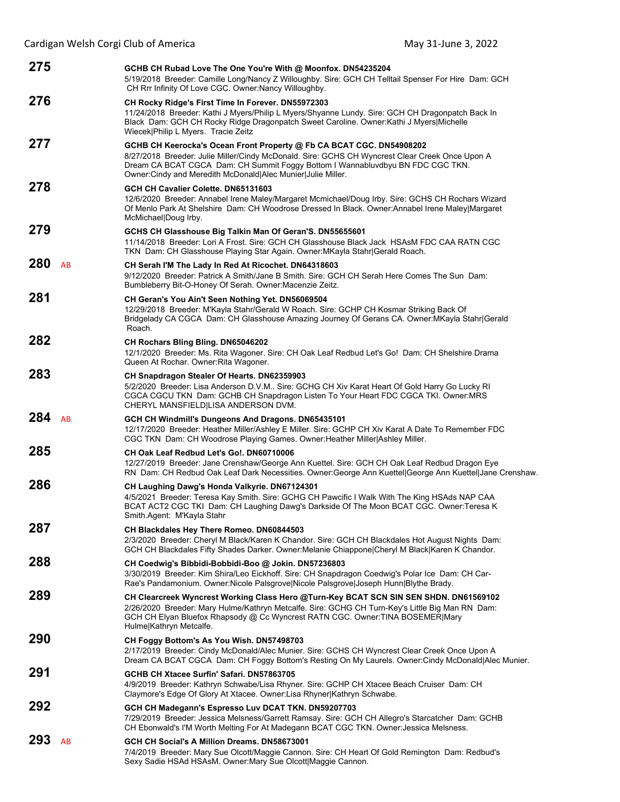|     |    | Cardigan Welsh Corgi Club of America                                                                                                                                                                                                                                                                                     | May 31-June 3, 2022 |
|-----|----|--------------------------------------------------------------------------------------------------------------------------------------------------------------------------------------------------------------------------------------------------------------------------------------------------------------------------|---------------------|
| 275 |    | GCHB CH Rubad Love The One You're With @ Moonfox. DN54235204<br>5/19/2018 Breeder: Camille Long/Nancy Z Willoughby. Sire: GCH CH Telltail Spenser For Hire Dam: GCH<br>CH Rrr Infinity Of Love CGC. Owner: Nancy Willoughby.                                                                                             |                     |
| 276 |    | CH Rocky Ridge's First Time In Forever. DN55972303<br>11/24/2018 Breeder: Kathi J Myers/Philip L Myers/Shyanne Lundy. Sire: GCH CH Dragonpatch Back In<br>Black Dam: GCH CH Rocky Ridge Dragonpatch Sweet Caroline. Owner: Kathi J Myers Michelle<br>Wiecek Philip L Myers. Tracie Zeitz                                 |                     |
| 277 |    | GCHB CH Keerocka's Ocean Front Property @ Fb CA BCAT CGC. DN54908202<br>8/27/2018 Breeder: Julie Miller/Cindy McDonald. Sire: GCHS CH Wyncrest Clear Creek Once Upon A<br>Dream CA BCAT CGCA Dam: CH Summit Foggy Bottom I Wannabluvdbyu BN FDC CGC TKN.<br>Owner: Cindy and Meredith McDonald Alec Munier Julie Miller. |                     |
| 278 |    | GCH CH Cavalier Colette, DN65131603<br>12/6/2020 Breeder: Annabel Irene Maley/Margaret Mcmichael/Doug Irby. Sire: GCHS CH Rochars Wizard<br>Of Menlo Park At Shelshire Dam: CH Woodrose Dressed In Black. Owner: Annabel Irene Maley Margaret<br>McMichael Doug Irby.                                                    |                     |
| 279 |    | GCHS CH Glasshouse Big Talkin Man Of Geran'S. DN55655601<br>11/14/2018 Breeder: Lori A Frost. Sire: GCH CH Glasshouse Black Jack HSAsM FDC CAA RATN CGC<br>TKN Dam: CH Glasshouse Playing Star Again. Owner: MKayla Stahr Gerald Roach.                                                                                  |                     |
| 280 | AB | CH Serah I'M The Lady In Red At Ricochet. DN64318603<br>9/12/2020 Breeder: Patrick A Smith/Jane B Smith. Sire: GCH CH Serah Here Comes The Sun Dam:<br>Bumbleberry Bit-O-Honey Of Serah. Owner: Macenzie Zeitz.                                                                                                          |                     |
| 281 |    | CH Geran's You Ain't Seen Nothing Yet. DN56069504<br>12/29/2018 Breeder: M'Kayla Stahr/Gerald W Roach. Sire: GCHP CH Kosmar Striking Back Of<br>Bridgelady CA CGCA Dam: CH Glasshouse Amazing Journey Of Gerans CA. Owner: MKayla Stahr Gerald<br>Roach.                                                                 |                     |
| 282 |    | CH Rochars Bling Bling. DN65046202<br>12/1/2020 Breeder: Ms. Rita Wagoner. Sire: CH Oak Leaf Redbud Let's Go! Dam: CH Shelshire Drama<br>Queen At Rochar. Owner: Rita Wagoner.                                                                                                                                           |                     |
| 283 |    | CH Snapdragon Stealer Of Hearts. DN62359903<br>5/2/2020 Breeder: Lisa Anderson D.V.M Sire: GCHG CH Xiv Karat Heart Of Gold Harry Go Lucky RI<br>CGCA CGCU TKN Dam: GCHB CH Snapdragon Listen To Your Heart FDC CGCA TKI. Owner: MRS<br>CHERYL MANSFIELD LISA ANDERSON DVM.                                               |                     |
| 284 | AB | GCH CH Windmill's Dungeons And Dragons. DN65435101<br>12/17/2020 Breeder: Heather Miller/Ashley E Miller. Sire: GCHP CH Xiv Karat A Date To Remember FDC<br>CGC TKN Dam: CH Woodrose Playing Games. Owner: Heather Miller Ashley Miller.                                                                                 |                     |
| 285 |    | CH Oak Leaf Redbud Let's Go!. DN60710006<br>12/27/2019 Breeder: Jane Crenshaw/George Ann Kuettel. Sire: GCH CH Oak Leaf Redbud Dragon Eye<br>RN Dam: CH Redbud Oak Leaf Dark Necessities. Owner: George Ann Kuettel George Ann Kuettel Jane Crenshaw.                                                                    |                     |
| 286 |    | CH Laughing Dawg's Honda Valkyrie. DN67124301<br>4/5/2021 Breeder: Teresa Kay Smith. Sire: GCHG CH Pawcific I Walk With The King HSAds NAP CAA<br>BCAT ACT2 CGC TKI Dam: CH Laughing Dawg's Darkside Of The Moon BCAT CGC. Owner: Teresa K<br>Smith Agent: M'Kayla Stahr                                                 |                     |
| 287 |    | CH Blackdales Hey There Romeo. DN60844503<br>2/3/2020 Breeder: Cheryl M Black/Karen K Chandor. Sire: GCH CH Blackdales Hot August Nights Dam:<br>GCH CH Blackdales Fifty Shades Darker. Owner: Melanie Chiappone Cheryl M Black Karen K Chandor.                                                                         |                     |
| 288 |    | CH Coedwig's Bibbidi-Bobbidi-Boo @ Jokin. DN57236803<br>3/30/2019 Breeder: Kim Shira/Leo Eickhoff. Sire: CH Snapdragon Coedwig's Polar Ice Dam: CH Car-<br>Rae's Pandamonium. Owner: Nicole Palsgrove Nicole Palsgrove Joseph Hunn Blythe Brady.                                                                         |                     |
| 289 |    | CH Clearcreek Wyncrest Working Class Hero @Turn-Key BCAT SCN SIN SEN SHDN. DN61569102<br>2/26/2020 Breeder: Mary Hulme/Kathryn Metcalfe. Sire: GCHG CH Turn-Key's Little Big Man RN Dam:<br>GCH CH Elyan Bluefox Rhapsody @ Cc Wyncrest RATN CGC. Owner:TINA BOSEMER Mary<br>Hulme Kathryn Metcalfe.                     |                     |
| 290 |    | CH Foggy Bottom's As You Wish. DN57498703<br>2/17/2019 Breeder: Cindy McDonald/Alec Munier. Sire: GCHS CH Wyncrest Clear Creek Once Upon A<br>Dream CA BCAT CGCA Dam: CH Foggy Bottom's Resting On My Laurels. Owner:Cindy McDonald Alec Munier.                                                                         |                     |
| 291 |    | GCHB CH Xtacee Surfin' Safari. DN57863705<br>4/9/2019 Breeder: Kathryn Schwabe/Lisa Rhyner. Sire: GCHP CH Xtacee Beach Cruiser Dam: CH<br>Claymore's Edge Of Glory At Xtacee. Owner:Lisa Rhyner Kathryn Schwabe.                                                                                                         |                     |
| 292 |    | GCH CH Madegann's Espresso Luv DCAT TKN. DN59207703<br>7/29/2019 Breeder: Jessica Melsness/Garrett Ramsay. Sire: GCH CH Allegro's Starcatcher Dam: GCHB<br>CH Ebonwald's I'M Worth Melting For At Madegann BCAT CGC TKN. Owner: Jessica Melsness.                                                                        |                     |
| 293 | AB | GCH CH Social's A Million Dreams. DN58673001<br>7/4/2019 Breeder: Mary Sue Olcott/Maggie Cannon. Sire: CH Heart Of Gold Remington Dam: Redbud's<br>Sexy Sadie HSAd HSAsM. Owner: Mary Sue Olcott   Maggie Cannon.                                                                                                        |                     |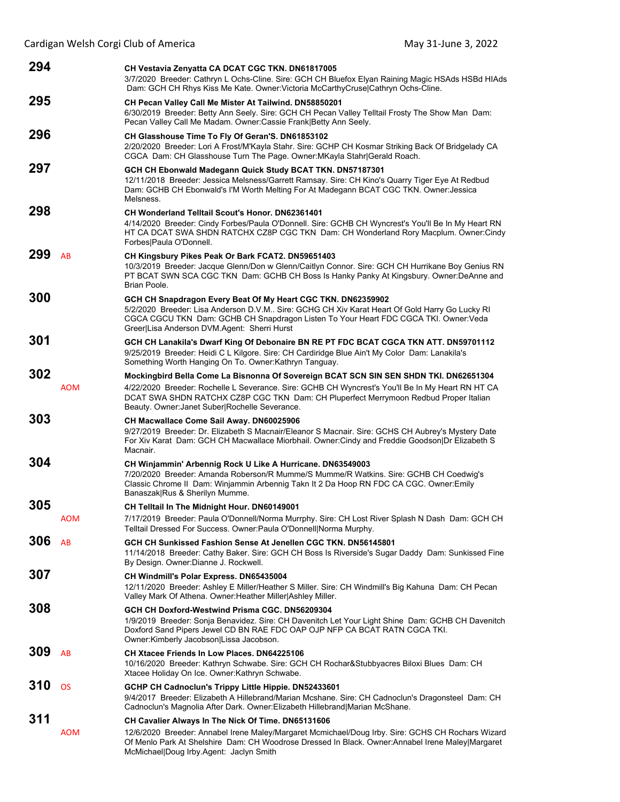| 294 |            | CH Vestavia Zenyatta CA DCAT CGC TKN. DN61817005<br>3/7/2020 Breeder: Cathryn L Ochs-Cline. Sire: GCH CH Bluefox Elyan Raining Magic HSAds HSBd HIAds<br>Dam: GCH CH Rhys Kiss Me Kate. Owner: Victoria McCarthyCruse Cathryn Ochs-Cline.                                                                                           |
|-----|------------|-------------------------------------------------------------------------------------------------------------------------------------------------------------------------------------------------------------------------------------------------------------------------------------------------------------------------------------|
| 295 |            | CH Pecan Valley Call Me Mister At Tailwind. DN58850201<br>6/30/2019 Breeder: Betty Ann Seely. Sire: GCH CH Pecan Valley Telltail Frosty The Show Man Dam:<br>Pecan Valley Call Me Madam. Owner: Cassie Frank Betty Ann Seely.                                                                                                       |
| 296 |            | CH Glasshouse Time To Fly Of Geran'S. DN61853102<br>2/20/2020 Breeder: Lori A Frost/M'Kayla Stahr. Sire: GCHP CH Kosmar Striking Back Of Bridgelady CA<br>CGCA Dam: CH Glasshouse Turn The Page. Owner: MKayla Stahr Gerald Roach.                                                                                                  |
| 297 |            | GCH CH Ebonwald Madegann Quick Study BCAT TKN. DN57187301<br>12/11/2018 Breeder: Jessica Melsness/Garrett Ramsay. Sire: CH Kino's Quarry Tiger Eye At Redbud<br>Dam: GCHB CH Ebonwald's I'M Worth Melting For At Madegann BCAT CGC TKN. Owner: Jessica<br>Melsness.                                                                 |
| 298 |            | <b>CH Wonderland Telltail Scout's Honor, DN62361401</b><br>4/14/2020 Breeder: Cindy Forbes/Paula O'Donnell. Sire: GCHB CH Wyncrest's You'll Be In My Heart RN<br>HT CA DCAT SWA SHDN RATCHX CZ8P CGC TKN Dam: CH Wonderland Rory Macplum. Owner:Cindy<br>Forbes Paula O'Donnell.                                                    |
| 299 | AB         | CH Kingsbury Pikes Peak Or Bark FCAT2. DN59651403<br>10/3/2019 Breeder: Jacque Glenn/Don w Glenn/Caitlyn Connor, Sire: GCH CH Hurrikane Boy Genius RN<br>PT BCAT SWN SCA CGC TKN Dam: GCHB CH Boss Is Hanky Panky At Kingsbury. Owner:DeAnne and<br>Brian Poole.                                                                    |
| 300 |            | GCH CH Snapdragon Every Beat Of My Heart CGC TKN. DN62359902<br>5/2/2020 Breeder: Lisa Anderson D.V.M Sire: GCHG CH Xiv Karat Heart Of Gold Harry Go Lucky RI<br>CGCA CGCU TKN Dam: GCHB CH Snapdragon Listen To Your Heart FDC CGCA TKI. Owner: Veda<br>Greer Lisa Anderson DVM.Agent: Sherri Hurst                                |
| 301 |            | GCH CH Lanakila's Dwarf King Of Debonaire BN RE PT FDC BCAT CGCA TKN ATT. DN59701112<br>9/25/2019 Breeder: Heidi C L Kilgore. Sire: CH Cardiridge Blue Ain't My Color Dam: Lanakila's<br>Something Worth Hanging On To. Owner: Kathryn Tanguay.                                                                                     |
| 302 | <b>AOM</b> | Mockingbird Bella Come La Bisnonna Of Sovereign BCAT SCN SIN SEN SHDN TKI. DN62651304<br>4/22/2020 Breeder: Rochelle L Severance. Sire: GCHB CH Wyncrest's You'll Be In My Heart RN HT CA<br>DCAT SWA SHDN RATCHX CZ8P CGC TKN Dam: CH Pluperfect Merrymoon Redbud Proper Italian<br>Beauty. Owner: Janet Suber Rochelle Severance. |
| 303 |            | <b>CH Macwallace Come Sail Away. DN60025906</b><br>9/27/2019 Breeder: Dr. Elizabeth S Macnair/Eleanor S Macnair. Sire: GCHS CH Aubrey's Mystery Date<br>For Xiv Karat Dam: GCH CH Macwallace Miorbhail. Owner:Cindy and Freddie Goodson Dr Elizabeth S<br>Macnair.                                                                  |
| 304 |            | CH Winjammin' Arbennig Rock U Like A Hurricane. DN63549003<br>7/20/2020 Breeder: Amanda Roberson/R Mumme/S Mumme/R Watkins. Sire: GCHB CH Coedwig's<br>Classic Chrome II Dam: Winjammin Arbennig Takn It 2 Da Hoop RN FDC CA CGC. Owner: Emily<br>Banaszak Rus & Sherilyn Mumme.                                                    |
| 305 | AOM        | CH Telltail In The Midnight Hour. DN60149001<br>7/17/2019  Breeder: Paula O'Donnell/Norma Murrphy. Sire: CH Lost River Splash N Dash  Dam: GCH CH<br>Telltail Dressed For Success. Owner: Paula O'Donnell Norma Murphy.                                                                                                             |
| 306 | AB         | GCH CH Sunkissed Fashion Sense At Jenellen CGC TKN. DN56145801<br>11/14/2018 Breeder: Cathy Baker. Sire: GCH CH Boss Is Riverside's Sugar Daddy Dam: Sunkissed Fine<br>By Design. Owner: Dianne J. Rockwell.                                                                                                                        |
| 307 |            | CH Windmill's Polar Express. DN65435004<br>12/11/2020 Breeder: Ashley E Miller/Heather S Miller. Sire: CH Windmill's Big Kahuna Dam: CH Pecan<br>Valley Mark Of Athena. Owner: Heather Miller Ashley Miller.                                                                                                                        |
| 308 |            | GCH CH Doxford-Westwind Prisma CGC. DN56209304<br>1/9/2019 Breeder: Sonja Benavidez. Sire: CH Davenitch Let Your Light Shine Dam: GCHB CH Davenitch<br>Doxford Sand Pipers Jewel CD BN RAE FDC OAP OJP NFP CA BCAT RATN CGCA TKI.<br>Owner:Kimberly Jacobson Lissa Jacobson.                                                        |
| 309 | AB         | CH Xtacee Friends In Low Places. DN64225106<br>10/16/2020 Breeder: Kathryn Schwabe. Sire: GCH CH Rochar&Stubbyacres Biloxi Blues Dam: CH<br>Xtacee Holiday On Ice. Owner: Kathryn Schwabe.                                                                                                                                          |
| 310 | <b>OS</b>  | GCHP CH Cadnoclun's Trippy Little Hippie. DN52433601<br>9/4/2017 Breeder: Elizabeth A Hillebrand/Marian Mcshane. Sire: CH Cadnoclun's Dragonsteel Dam: CH<br>Cadnoclun's Magnolia After Dark. Owner: Elizabeth Hillebrand Marian McShane.                                                                                           |
| 311 | <b>AOM</b> | CH Cavalier Always In The Nick Of Time. DN65131606<br>12/6/2020 Breeder: Annabel Irene Maley/Margaret Mcmichael/Doug Irby. Sire: GCHS CH Rochars Wizard<br>Of Menlo Park At Shelshire Dam: CH Woodrose Dressed In Black. Owner: Annabel Irene Maley Margaret<br>McMichael Doug Irby Agent: Jaclyn Smith                             |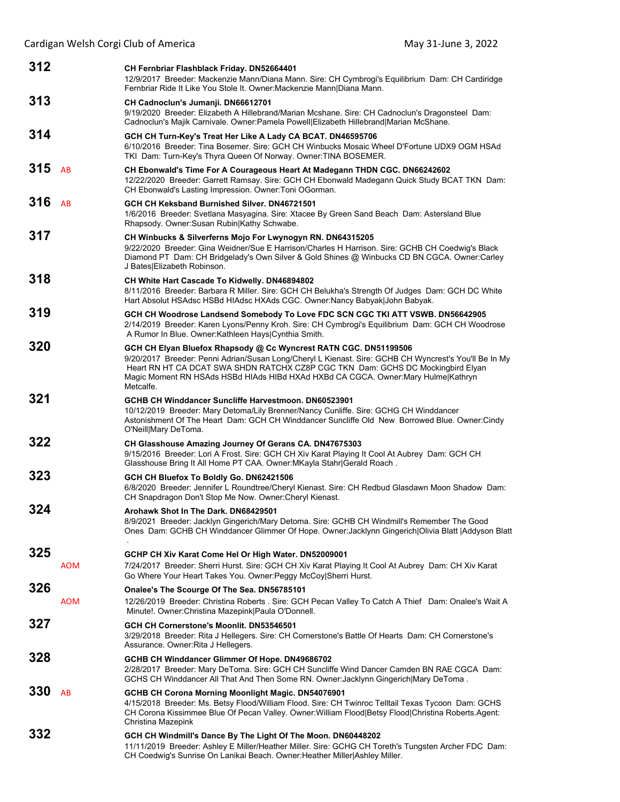| 312 |            | CH Fernbriar Flashblack Friday. DN52664401<br>12/9/2017 Breeder: Mackenzie Mann/Diana Mann. Sire: CH Cymbrogi's Equilibrium Dam: CH Cardiridge<br>Fernbriar Ride It Like You Stole It. Owner: Mackenzie Mann Diana Mann.                                                                                                                                        |
|-----|------------|-----------------------------------------------------------------------------------------------------------------------------------------------------------------------------------------------------------------------------------------------------------------------------------------------------------------------------------------------------------------|
| 313 |            | CH Cadnoclun's Jumanji. DN66612701<br>9/19/2020 Breeder: Elizabeth A Hillebrand/Marian Mcshane. Sire: CH Cadnoclun's Dragonsteel Dam:<br>Cadnoclun's Majik Carnivale. Owner:Pamela Powell Elizabeth Hillebrand Marian McShane.                                                                                                                                  |
| 314 |            | GCH CH Turn-Key's Treat Her Like A Lady CA BCAT. DN46595706<br>6/10/2016 Breeder: Tina Bosemer. Sire: GCH CH Winbucks Mosaic Wheel D'Fortune UDX9 OGM HSAd<br>TKI Dam: Turn-Key's Thyra Queen Of Norway. Owner: TINA BOSEMER.                                                                                                                                   |
| 315 | AB         | CH Ebonwald's Time For A Courageous Heart At Madegann THDN CGC. DN66242602<br>12/22/2020 Breeder: Garrett Ramsay. Sire: GCH CH Ebonwald Madegann Quick Study BCAT TKN Dam:<br>CH Ebonwald's Lasting Impression. Owner: Toni OGorman.                                                                                                                            |
| 316 | AB         | GCH CH Keksband Burnished Silver, DN46721501<br>1/6/2016 Breeder: Svetlana Masyagina. Sire: Xtacee By Green Sand Beach Dam: Astersland Blue<br>Rhapsody. Owner: Susan Rubin Kathy Schwabe.                                                                                                                                                                      |
| 317 |            | CH Winbucks & Silverferns Mojo For Lwynogyn RN. DN64315205<br>9/22/2020 Breeder: Gina Weidner/Sue E Harrison/Charles H Harrison. Sire: GCHB CH Coedwig's Black<br>Diamond PT Dam: CH Bridgelady's Own Silver & Gold Shines @ Winbucks CD BN CGCA. Owner:Carley<br>J Bates Elizabeth Robinson.                                                                   |
| 318 |            | CH White Hart Cascade To Kidwelly. DN46894802<br>8/11/2016 Breeder: Barbara R Miller. Sire: GCH CH Belukha's Strength Of Judges Dam: GCH DC White<br>Hart Absolut HSAdsc HSBd HIAdsc HXAds CGC. Owner:Nancy Babyak John Babyak.                                                                                                                                 |
| 319 |            | GCH CH Woodrose Landsend Somebody To Love FDC SCN CGC TKI ATT VSWB. DN56642905<br>2/14/2019 Breeder: Karen Lyons/Penny Kroh. Sire: CH Cymbrogi's Equilibrium Dam: GCH CH Woodrose<br>A Rumor In Blue. Owner: Kathleen Hays   Cynthia Smith.                                                                                                                     |
| 320 |            | GCH CH Elyan Bluefox Rhapsody @ Cc Wyncrest RATN CGC. DN51199506<br>9/20/2017 Breeder: Penni Adrian/Susan Long/Cheryl L Kienast. Sire: GCHB CH Wyncrest's You'll Be In My<br>Heart RN HT CA DCAT SWA SHDN RATCHX CZ8P CGC TKN Dam: GCHS DC Mockingbird Elyan<br>Magic Moment RN HSAds HSBd HIAds HIBd HXAd HXBd CA CGCA. Owner: Mary Hulme Kathryn<br>Metcalfe. |
| 321 |            | GCHB CH Winddancer Suncliffe Harvestmoon. DN60523901<br>10/12/2019 Breeder: Mary Detoma/Lily Brenner/Nancy Cunliffe. Sire: GCHG CH Winddancer<br>Astonishment Of The Heart Dam: GCH CH Winddancer Suncliffe Old New Borrowed Blue. Owner:Cindy<br>O'Neill Mary DeToma.                                                                                          |
| 322 |            | CH Glasshouse Amazing Journey Of Gerans CA. DN47675303<br>9/15/2016 Breeder: Lori A Frost. Sire: GCH CH Xiv Karat Playing It Cool At Aubrey Dam: GCH CH<br>Glasshouse Bring It All Home PT CAA. Owner: MKayla Stahr Gerald Roach.                                                                                                                               |
| 323 |            | GCH CH Bluefox To Boldly Go. DN62421506<br>6/8/2020 Breeder: Jennifer L Roundtree/Cheryl Kienast. Sire: CH Redbud Glasdawn Moon Shadow Dam:<br>CH Snapdragon Don't Stop Me Now. Owner: Cheryl Kienast.                                                                                                                                                          |
| 324 |            | Arohawk Shot In The Dark, DN68429501<br>8/9/2021 Breeder: Jacklyn Gingerich/Mary Detoma. Sire: GCHB CH Windmill's Remember The Good<br>Ones Dam: GCHB CH Winddancer Glimmer Of Hope. Owner: Jacklynn Gingerich Olivia Blatt   Addyson Blatt                                                                                                                     |
| 325 | <b>AOM</b> | GCHP CH Xiv Karat Come Hel Or High Water. DN52009001<br>7/24/2017 Breeder: Sherri Hurst. Sire: GCH CH Xiv Karat Playing It Cool At Aubrey Dam: CH Xiv Karat<br>Go Where Your Heart Takes You. Owner: Peggy McCoy Sherri Hurst.                                                                                                                                  |
| 326 | <b>AOM</b> | Onalee's The Scourge Of The Sea. DN56785101<br>12/26/2019 Breeder: Christina Roberts . Sire: GCH Pecan Valley To Catch A Thief Dam: Onalee's Wait A<br>Minute!. Owner: Christina Mazepink Paula O'Donnell.                                                                                                                                                      |
| 327 |            | GCH CH Cornerstone's Moonlit. DN53546501<br>3/29/2018 Breeder: Rita J Hellegers. Sire: CH Cornerstone's Battle Of Hearts Dam: CH Cornerstone's<br>Assurance. Owner: Rita J Hellegers.                                                                                                                                                                           |
| 328 |            | GCHB CH Winddancer Glimmer Of Hope. DN49686702<br>2/28/2017 Breeder: Mary DeToma. Sire: GCH CH Suncliffe Wind Dancer Camden BN RAE CGCA Dam:<br>GCHS CH Winddancer All That And Then Some RN. Owner: Jacklynn Gingerich Mary DeToma.                                                                                                                            |
| 330 | AB         | GCHB CH Corona Morning Moonlight Magic. DN54076901<br>4/15/2018 Breeder: Ms. Betsy Flood/William Flood. Sire: CH Twinroc Telltail Texas Tycoon Dam: GCHS<br>CH Corona Kissimmee Blue Of Pecan Valley. Owner: William Flood Betsy Flood Christina Roberts. Agent:<br>Christina Mazepink                                                                          |
| 332 |            | GCH CH Windmill's Dance By The Light Of The Moon. DN60448202<br>11/11/2019 Breeder: Ashley E Miller/Heather Miller. Sire: GCHG CH Toreth's Tungsten Archer FDC Dam:<br>CH Coedwig's Sunrise On Lanikai Beach. Owner: Heather Miller Ashley Miller.                                                                                                              |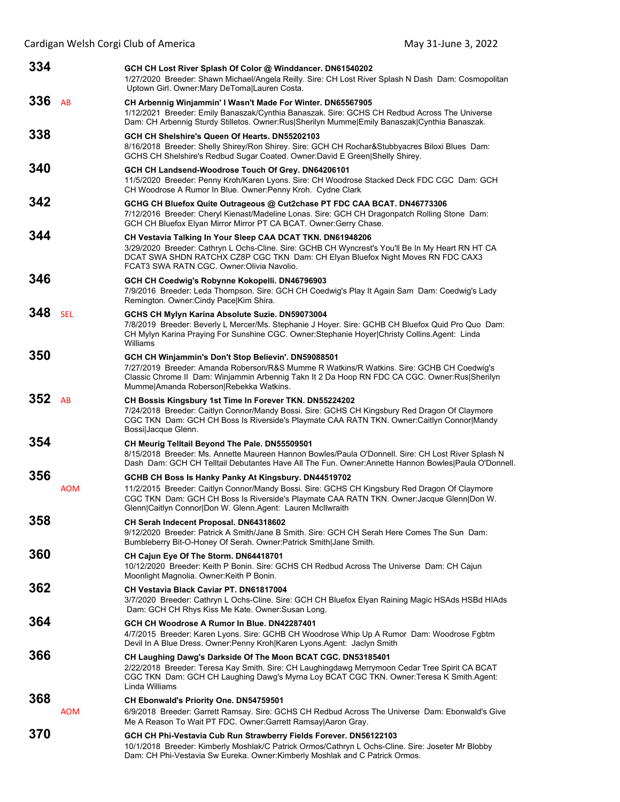| 334 |            | GCH CH Lost River Splash Of Color @ Winddancer. DN61540202                                                                                                                                                                                                                                                         |
|-----|------------|--------------------------------------------------------------------------------------------------------------------------------------------------------------------------------------------------------------------------------------------------------------------------------------------------------------------|
|     |            | 1/27/2020 Breeder: Shawn Michael/Angela Reilly. Sire: CH Lost River Splash N Dash Dam: Cosmopolitan<br>Uptown Girl. Owner: Mary DeToma Lauren Costa.                                                                                                                                                               |
| 336 | AB         | CH Arbennig Winjammin' I Wasn't Made For Winter. DN65567905<br>1/12/2021 Breeder: Emily Banaszak/Cynthia Banaszak. Sire: GCHS CH Redbud Across The Universe<br>Dam: CH Arbennig Sturdy Stilletos. Owner:Rus Sherilyn Mumme Emily Banaszak Cynthia Banaszak.                                                        |
| 338 |            | GCH CH Shelshire's Queen Of Hearts. DN55202103<br>8/16/2018 Breeder: Shelly Shirey/Ron Shirey. Sire: GCH CH Rochar&Stubbyacres Biloxi Blues Dam:<br>GCHS CH Shelshire's Redbud Sugar Coated. Owner: David E Green Shelly Shirey.                                                                                   |
| 340 |            | GCH CH Landsend-Woodrose Touch Of Grey. DN64206101<br>11/5/2020 Breeder: Penny Kroh/Karen Lyons. Sire: CH Woodrose Stacked Deck FDC CGC Dam: GCH<br>CH Woodrose A Rumor In Blue. Owner: Penny Kroh. Cydne Clark                                                                                                    |
| 342 |            | GCHG CH Bluefox Quite Outrageous @ Cut2chase PT FDC CAA BCAT. DN46773306<br>7/12/2016 Breeder: Cheryl Kienast/Madeline Lonas. Sire: GCH CH Dragonpatch Rolling Stone Dam:<br>GCH CH Bluefox Elyan Mirror Mirror PT CA BCAT. Owner:Gerry Chase.                                                                     |
| 344 |            | CH Vestavia Talking In Your Sleep CAA DCAT TKN. DN61948206<br>3/29/2020 Breeder: Cathryn L Ochs-Cline. Sire: GCHB CH Wyncrest's You'll Be In My Heart RN HT CA<br>DCAT SWA SHDN RATCHX CZ8P CGC TKN Dam: CH Elyan Bluefox Night Moves RN FDC CAX3<br>FCAT3 SWA RATN CGC, Owner: Olivia Navolio.                    |
| 346 |            | GCH CH Coedwig's Robynne Kokopelli. DN46796903<br>7/9/2016 Breeder: Leda Thompson. Sire: GCH CH Coedwig's Play It Again Sam Dam: Coedwig's Lady<br>Remington. Owner: Cindy Pace Kim Shira.                                                                                                                         |
| 348 | <b>SEL</b> | GCHS CH Mylyn Karina Absolute Suzie. DN59073004<br>7/8/2019 Breeder: Beverly L Mercer/Ms. Stephanie J Hoyer. Sire: GCHB CH Bluefox Quid Pro Quo Dam:<br>CH Mylyn Karina Praying For Sunshine CGC. Owner:Stephanie Hoyer Christy Collins.Agent: Linda<br>Williams                                                   |
| 350 |            | GCH CH Winjammin's Don't Stop Believin'. DN59088501<br>7/27/2019 Breeder: Amanda Roberson/R&S Mumme R Watkins/R Watkins. Sire: GCHB CH Coedwig's<br>Classic Chrome II Dam: Winjammin Arbennig Takn It 2 Da Hoop RN FDC CA CGC. Owner:Rus Sherilyn<br>Mumme Amanda Roberson Rebekka Watkins.                        |
| 352 | AB         | CH Bossis Kingsbury 1st Time In Forever TKN. DN55224202<br>7/24/2018 Breeder: Caitlyn Connor/Mandy Bossi. Sire: GCHS CH Kingsbury Red Dragon Of Claymore<br>CGC TKN Dam: GCH CH Boss Is Riverside's Playmate CAA RATN TKN. Owner:Caitlyn Connor Mandy<br>Bossi Jacque Glenn.                                       |
| 354 |            | CH Meurig Telltail Beyond The Pale. DN55509501<br>8/15/2018 Breeder: Ms. Annette Maureen Hannon Bowles/Paula O'Donnell. Sire: CH Lost River Splash N<br>Dash Dam: GCH CH Telltail Debutantes Have All The Fun. Owner: Annette Hannon Bowles Paula O'Donnell.                                                       |
| 356 | <b>AOM</b> | GCHB CH Boss Is Hanky Panky At Kingsbury. DN44519702<br>11/2/2015 Breeder: Caitlyn Connor/Mandy Bossi. Sire: GCHS CH Kingsbury Red Dragon Of Claymore<br>CGC TKN Dam: GCH CH Boss Is Riverside's Playmate CAA RATN TKN. Owner: Jacque Glenn   Don W.<br>Glenn Caitlyn Connor Don W. Glenn.Agent: Lauren McIlwraith |
| 358 |            | CH Serah Indecent Proposal. DN64318602<br>9/12/2020 Breeder: Patrick A Smith/Jane B Smith. Sire: GCH CH Serah Here Comes The Sun Dam:<br>Bumbleberry Bit-O-Honey Of Serah. Owner: Patrick Smith Jane Smith.                                                                                                        |
| 360 |            | CH Cajun Eye Of The Storm. DN64418701<br>10/12/2020 Breeder: Keith P Bonin. Sire: GCHS CH Redbud Across The Universe Dam: CH Cajun<br>Moonlight Magnolia. Owner: Keith P Bonin.                                                                                                                                    |
| 362 |            | <b>CH Vestavia Black Caviar PT, DN61817004</b><br>3/7/2020 Breeder: Cathryn L Ochs-Cline. Sire: GCH CH Bluefox Elyan Raining Magic HSAds HSBd HIAds<br>Dam: GCH CH Rhys Kiss Me Kate. Owner: Susan Long.                                                                                                           |
| 364 |            | GCH CH Woodrose A Rumor In Blue. DN42287401<br>4/7/2015 Breeder: Karen Lyons. Sire: GCHB CH Woodrose Whip Up A Rumor Dam: Woodrose Fgbtm<br>Devil In A Blue Dress. Owner: Penny Kroh Karen Lyons. Agent: Jaclyn Smith                                                                                              |
| 366 |            | CH Laughing Dawg's Darkside Of The Moon BCAT CGC. DN53185401<br>2/22/2018 Breeder: Teresa Kay Smith. Sire: CH Laughingdawg Merrymoon Cedar Tree Spirit CA BCAT<br>CGC TKN Dam: GCH CH Laughing Dawg's Myrna Loy BCAT CGC TKN. Owner:Teresa K Smith.Agent:<br>Linda Williams                                        |
| 368 |            | CH Ebonwald's Priority One. DN54759501                                                                                                                                                                                                                                                                             |
|     | <b>AOM</b> | 6/9/2018 Breeder: Garrett Ramsay. Sire: GCHS CH Redbud Across The Universe Dam: Ebonwald's Give<br>Me A Reason To Wait PT FDC. Owner: Garrett Ramsay Aaron Gray.                                                                                                                                                   |
| 370 |            | GCH CH Phi-Vestavia Cub Run Strawberry Fields Forever. DN56122103<br>10/1/2018 Breeder: Kimberly Moshlak/C Patrick Ormos/Cathryn L Ochs-Cline. Sire: Joseter Mr Blobby<br>Dam: CH Phi-Vestavia Sw Eureka. Owner: Kimberly Moshlak and C Patrick Ormos.                                                             |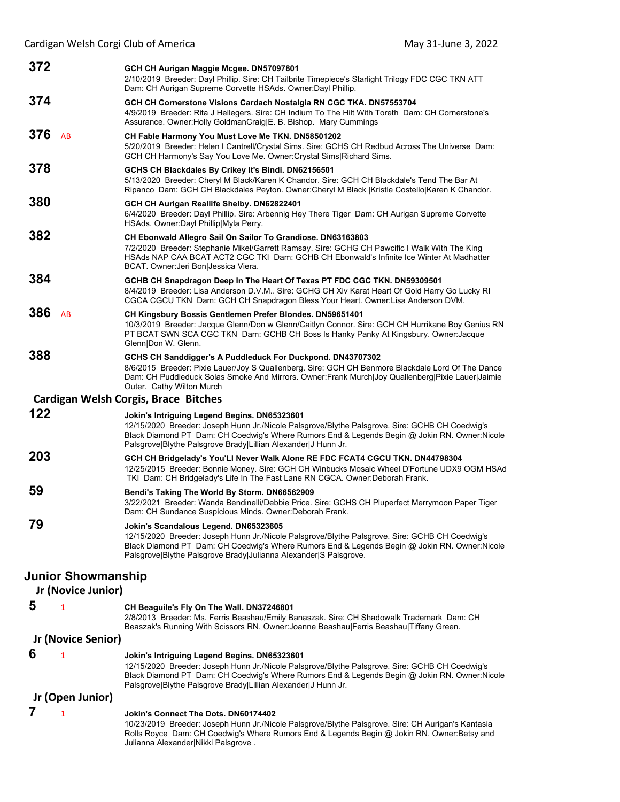| 372              |                    | GCH CH Aurigan Maggie Mcgee. DN57097801<br>2/10/2019 Breeder: Dayl Phillip. Sire: CH Tailbrite Timepiece's Starlight Trilogy FDC CGC TKN ATT<br>Dam: CH Aurigan Supreme Corvette HSAds. Owner: Dayl Phillip.                                                                                                     |  |
|------------------|--------------------|------------------------------------------------------------------------------------------------------------------------------------------------------------------------------------------------------------------------------------------------------------------------------------------------------------------|--|
| 374              |                    | GCH CH Cornerstone Visions Cardach Nostalgia RN CGC TKA. DN57553704<br>4/9/2019 Breeder: Rita J Hellegers. Sire: CH Indium To The Hilt With Toreth Dam: CH Cornerstone's<br>Assurance. Owner: Holly GoldmanCraig E. B. Bishop. Mary Cummings                                                                     |  |
| 376              | AB                 | CH Fable Harmony You Must Love Me TKN. DN58501202<br>5/20/2019 Breeder: Helen I Cantrell/Crystal Sims. Sire: GCHS CH Redbud Across The Universe Dam:<br>GCH CH Harmony's Say You Love Me. Owner: Crystal Sims Richard Sims.                                                                                      |  |
| 378              |                    | GCHS CH Blackdales By Crikey It's Bindi. DN62156501<br>5/13/2020 Breeder: Cheryl M Black/Karen K Chandor. Sire: GCH CH Blackdale's Tend The Bar At<br>Ripanco Dam: GCH CH Blackdales Peyton. Owner:Cheryl M Black  Kristle Costello Karen K Chandor.                                                             |  |
| 380              |                    | GCH CH Aurigan Reallife Shelby. DN62822401<br>6/4/2020 Breeder: Dayl Phillip. Sire: Arbennig Hey There Tiger Dam: CH Aurigan Supreme Corvette<br>HSAds. Owner:Dayl Phillip Myla Perry.                                                                                                                           |  |
| 382              |                    | CH Ebonwald Allegro Sail On Sailor To Grandiose. DN63163803<br>7/2/2020 Breeder: Stephanie Mikel/Garrett Ramsay. Sire: GCHG CH Pawcific I Walk With The King<br>HSAds NAP CAA BCAT ACT2 CGC TKI Dam: GCHB CH Ebonwald's Infinite Ice Winter At Madhatter<br>BCAT. Owner: Jeri Bon Jessica Viera.                 |  |
| 384              |                    | GCHB CH Snapdragon Deep In The Heart Of Texas PT FDC CGC TKN. DN59309501<br>8/4/2019 Breeder: Lisa Anderson D.V.M Sire: GCHG CH Xiv Karat Heart Of Gold Harry Go Lucky RI<br>CGCA CGCU TKN Dam: GCH CH Snapdragon Bless Your Heart. Owner:Lisa Anderson DVM.                                                     |  |
| 386              | AB                 | CH Kingsbury Bossis Gentlemen Prefer Blondes. DN59651401<br>10/3/2019 Breeder: Jacque Glenn/Don w Glenn/Caitlyn Connor. Sire: GCH CH Hurrikane Boy Genius RN<br>PT BCAT SWN SCA CGC TKN Dam: GCHB CH Boss Is Hanky Panky At Kingsbury. Owner: Jacque<br>Glenn Don W. Glenn.                                      |  |
| 388              |                    | GCHS CH Sanddigger's A Puddleduck For Duckpond. DN43707302<br>8/6/2015 Breeder: Pixie Lauer/Joy S Quallenberg. Sire: GCH CH Benmore Blackdale Lord Of The Dance<br>Dam: CH Puddleduck Solas Smoke And Mirrors. Owner: Frank Murch Joy Quallenberg Pixie Lauer Jaimie<br>Outer. Cathy Wilton Murch                |  |
|                  |                    | <b>Cardigan Welsh Corgis, Brace Bitches</b>                                                                                                                                                                                                                                                                      |  |
| 122              |                    | Jokin's Intriguing Legend Begins. DN65323601<br>12/15/2020 Breeder: Joseph Hunn Jr./Nicole Palsgrove/Blythe Palsgrove. Sire: GCHB CH Coedwig's<br>Black Diamond PT Dam: CH Coedwig's Where Rumors End & Legends Begin @ Jokin RN. Owner: Nicole<br>Palsgrove Blythe Palsgrove Brady Lillian Alexander J Hunn Jr. |  |
| 203              |                    | GCH CH Bridgelady's You'LI Never Walk Alone RE FDC FCAT4 CGCU TKN. DN44798304<br>12/25/2015 Breeder: Bonnie Money. Sire: GCH CH Winbucks Mosaic Wheel D'Fortune UDX9 OGM HSAd<br>TKI Dam: CH Bridgelady's Life In The Fast Lane RN CGCA. Owner: Deborah Frank.                                                   |  |
| 59               |                    | Bendi's Taking The World By Storm. DN66562909<br>3/22/2021 Breeder: Wanda Bendinelli/Debbie Price. Sire: GCHS CH Pluperfect Merrymoon Paper Tiger<br>Dam: CH Sundance Suspicious Minds. Owner: Deborah Frank.                                                                                                    |  |
| 79               |                    | Jokin's Scandalous Legend. DN65323605<br>12/15/2020 Breeder: Joseph Hunn Jr./Nicole Palsgrove/Blythe Palsgrove. Sire: GCHB CH Coedwig's<br>Black Diamond PT Dam: CH Coedwig's Where Rumors End & Legends Begin @ Jokin RN. Owner: Nicole<br>Palsgrove Blythe Palsgrove Brady Julianna Alexander S Palsgrove.     |  |
|                  | Junior Showmanship |                                                                                                                                                                                                                                                                                                                  |  |
|                  | Jr (Novice Junior) |                                                                                                                                                                                                                                                                                                                  |  |
| 5                | 1                  | CH Beaguile's Fly On The Wall. DN37246801<br>2/8/2013 Breeder: Ms. Ferris Beashau/Emily Banaszak. Sire: CH Shadowalk Trademark Dam: CH<br>Beaszak's Running With Scissors RN. Owner: Joanne Beashau   Ferris Beashau   Tiffany Green.                                                                            |  |
|                  | Jr (Novice Senior) |                                                                                                                                                                                                                                                                                                                  |  |
| 6                | 1                  | Jokin's Intriguing Legend Begins. DN65323601<br>12/15/2020 Breeder: Joseph Hunn Jr./Nicole Palsgrove/Blythe Palsgrove. Sire: GCHB CH Coedwig's<br>Black Diamond PT Dam: CH Coedwig's Where Rumors End & Legends Begin @ Jokin RN. Owner:Nicole<br>Palsgrove Blythe Palsgrove Brady Lillian Alexander J Hunn Jr.  |  |
| Jr (Open Junior) |                    |                                                                                                                                                                                                                                                                                                                  |  |
| 7                | 1                  | Jokin's Connect The Dots. DN60174402                                                                                                                                                                                                                                                                             |  |

10/23/2019 Breeder: Joseph Hunn Jr./Nicole Palsgrove/Blythe Palsgrove. Sire: CH Aurigan's Kantasia Rolls Royce Dam: CH Coedwig's Where Rumors End & Legends Begin @ Jokin RN. Owner:Betsy and Julianna Alexander|Nikki Palsgrove .